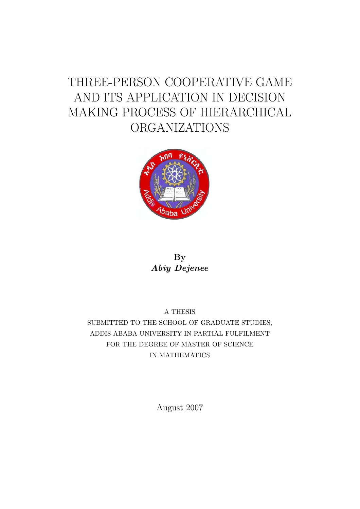## THREE-PERSON COOPERATIVE GAME AND ITS APPLICATION IN DECISION MAKING PROCESS OF HIERARCHICAL ORGANIZATIONS



### By Abiy Dejenee

A THESIS SUBMITTED TO THE SCHOOL OF GRADUATE STUDIES, ADDIS ABABA UNIVERSITY IN PARTIAL FULFILMENT FOR THE DEGREE OF MASTER OF SCIENCE IN MATHEMATICS

August 2007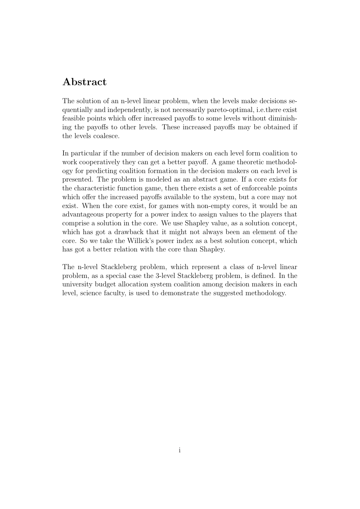### Abstract

The solution of an n-level linear problem, when the levels make decisions sequentially and independently, is not necessarily pareto-optimal, i.e.there exist feasible points which offer increased payoffs to some levels without diminishing the payoffs to other levels. These increased payoffs may be obtained if the levels coalesce.

In particular if the number of decision makers on each level form coalition to work cooperatively they can get a better payoff. A game theoretic methodology for predicting coalition formation in the decision makers on each level is presented. The problem is modeled as an abstract game. If a core exists for the characteristic function game, then there exists a set of enforceable points which offer the increased payoffs available to the system, but a core may not exist. When the core exist, for games with non-empty cores, it would be an advantageous property for a power index to assign values to the players that comprise a solution in the core. We use Shapley value, as a solution concept, which has got a drawback that it might not always been an element of the core. So we take the Willick's power index as a best solution concept, which has got a better relation with the core than Shapley.

The n-level Stackleberg problem, which represent a class of n-level linear problem, as a special case the 3-level Stackleberg problem, is defined. In the university budget allocation system coalition among decision makers in each level, science faculty, is used to demonstrate the suggested methodology.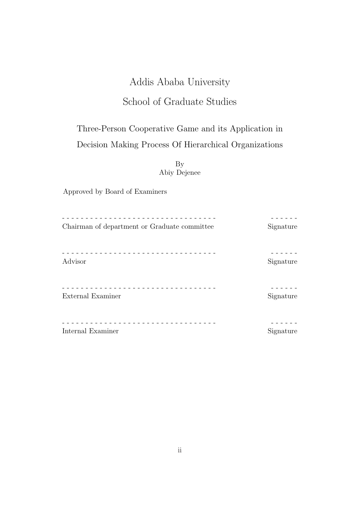## Addis Ababa University

## School of Graduate Studies

## Three-Person Cooperative Game and its Application in Decision Making Process Of Hierarchical Organizations

By Abiy Dejenee

Approved by Board of Examiners

| Chairman of department or Graduate committee | Signature |
|----------------------------------------------|-----------|
| Advisor                                      | Signature |
| External Examiner                            | Signature |
| Internal Examiner                            | Signature |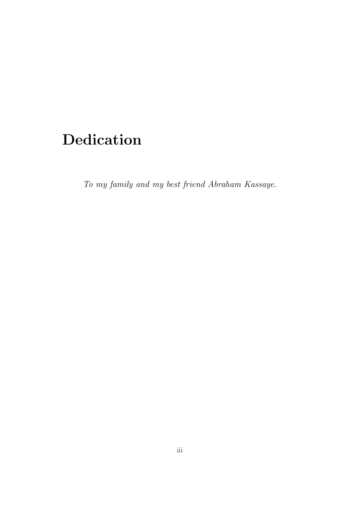## Dedication

To my family and my best friend Abraham Kassaye.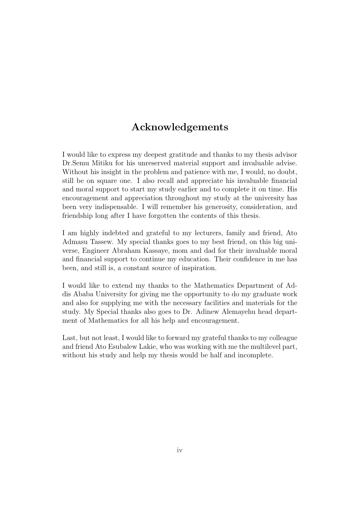### Acknowledgements

I would like to express my deepest gratitude and thanks to my thesis advisor Dr.Semu Mitiku for his unreserved material support and invaluable advise. Without his insight in the problem and patience with me, I would, no doubt, still be on square one. I also recall and appreciate his invaluable financial and moral support to start my study earlier and to complete it on time. His encouragement and appreciation throughout my study at the university has been very indispensable. I will remember his generosity, consideration, and friendship long after I have forgotten the contents of this thesis.

I am highly indebted and grateful to my lecturers, family and friend, Ato Admasu Tassew. My special thanks goes to my best friend, on this big universe, Engineer Abraham Kassaye, mom and dad for their invaluable moral and financial support to continue my education. Their confidence in me has been, and still is, a constant source of inspiration.

I would like to extend my thanks to the Mathematics Department of Addis Ababa University for giving me the opportunity to do my graduate work and also for supplying me with the necessary facilities and materials for the study. My Special thanks also goes to Dr. Adinew Alemayehu head department of Mathematics for all his help and encouragement.

Last, but not least, I would like to forward my grateful thanks to my colleague and friend Ato Esubalew Lakie, who was working with me the multilevel part, without his study and help my thesis would be half and incomplete.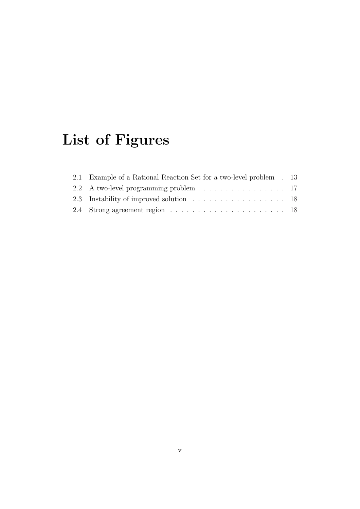# List of Figures

| 2.1 Example of a Rational Reaction Set for a two-level problem . 13 |  |
|---------------------------------------------------------------------|--|
| 2.2 A two-level programming problem 17                              |  |
|                                                                     |  |
|                                                                     |  |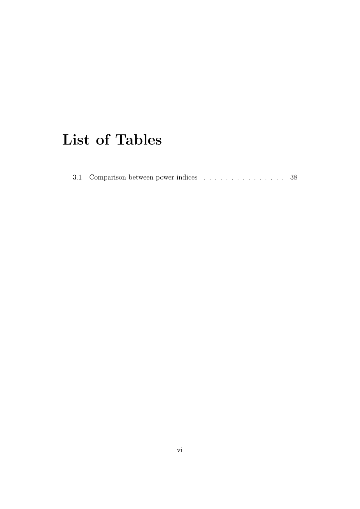## List of Tables

| 3.1 Comparison between power indices 38 |  |  |  |  |  |  |  |  |  |
|-----------------------------------------|--|--|--|--|--|--|--|--|--|
|                                         |  |  |  |  |  |  |  |  |  |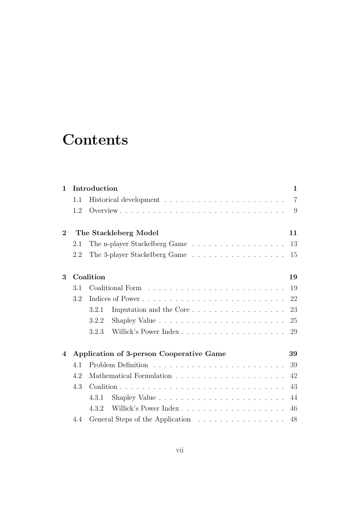## **Contents**

| $\mathbf{1}$     |     | Introduction                                   | 1              |
|------------------|-----|------------------------------------------------|----------------|
|                  | 1.1 |                                                | $\overline{7}$ |
|                  | 1.2 |                                                | 9              |
| $\overline{2}$   |     | The Stackleberg Model<br>11                    |                |
|                  | 2.1 | The n-player Stackelberg Game<br>13            |                |
|                  | 2.2 | The 3-player Stackelberg Game<br>15            |                |
| 3                |     | Coalition<br>19                                |                |
|                  | 3.1 | 19                                             |                |
|                  | 3.2 | 22                                             |                |
|                  |     | Imputation and the Core<br>23<br>3.2.1         |                |
|                  |     | 25<br>3.2.2                                    |                |
|                  |     | 3.2.3<br>29                                    |                |
| $\boldsymbol{A}$ |     | Application of 3-person Cooperative Game<br>39 |                |
|                  | 4.1 | 39                                             |                |
|                  | 4.2 | 42                                             |                |
|                  | 4.3 | 43                                             |                |
|                  |     | 44<br>4.3.1                                    |                |
|                  |     | 4.3.2<br>46                                    |                |
|                  | 4.4 | General Steps of the Application<br>48         |                |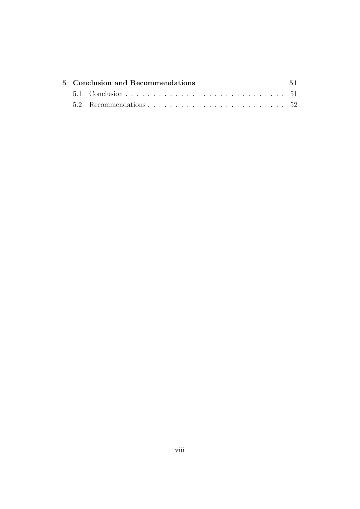|  | 5 Conclusion and Recommendations | .51 |
|--|----------------------------------|-----|
|  |                                  |     |
|  |                                  |     |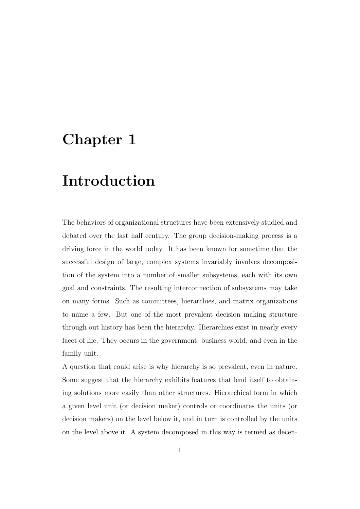## Chapter 1

## Introduction

The behaviors of organizational structures have been extensively studied and debated over the last half century. The group decision-making process is a driving force in the world today. It has been known for sometime that the successful design of large, complex systems invariably involves decomposition of the system into a number of smaller subsystems, each with its own goal and constraints. The resulting interconnection of subsystems may take on many forms. Such as committees, hierarchies, and matrix organizations to name a few. But one of the most prevalent decision making structure through out history has been the hierarchy. Hierarchies exist in nearly every facet of life. They occurs in the government, business world, and even in the family unit.

A question that could arise is why hierarchy is so prevalent, even in nature. Some suggest that the hierarchy exhibits features that lend itself to obtaining solutions more easily than other structures. Hierarchical form in which a given level unit (or decision maker) controls or coordinates the units (or decision makers) on the level below it, and in turn is controlled by the units on the level above it. A system decomposed in this way is termed as decen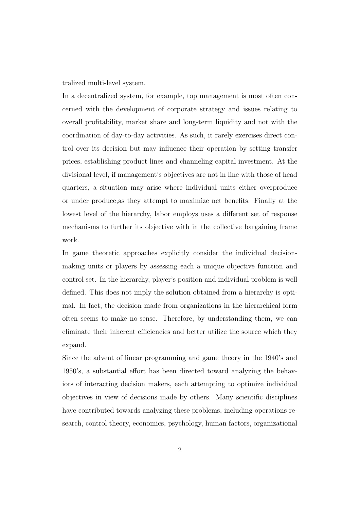tralized multi-level system.

In a decentralized system, for example, top management is most often concerned with the development of corporate strategy and issues relating to overall profitability, market share and long-term liquidity and not with the coordination of day-to-day activities. As such, it rarely exercises direct control over its decision but may influence their operation by setting transfer prices, establishing product lines and channeling capital investment. At the divisional level, if management's objectives are not in line with those of head quarters, a situation may arise where individual units either overproduce or under produce,as they attempt to maximize net benefits. Finally at the lowest level of the hierarchy, labor employs uses a different set of response mechanisms to further its objective with in the collective bargaining frame work.

In game theoretic approaches explicitly consider the individual decisionmaking units or players by assessing each a unique objective function and control set. In the hierarchy, player's position and individual problem is well defined. This does not imply the solution obtained from a hierarchy is optimal. In fact, the decision made from organizations in the hierarchical form often seems to make no-sense. Therefore, by understanding them, we can eliminate their inherent efficiencies and better utilize the source which they expand.

Since the advent of linear programming and game theory in the 1940's and 1950's, a substantial effort has been directed toward analyzing the behaviors of interacting decision makers, each attempting to optimize individual objectives in view of decisions made by others. Many scientific disciplines have contributed towards analyzing these problems, including operations research, control theory, economics, psychology, human factors, organizational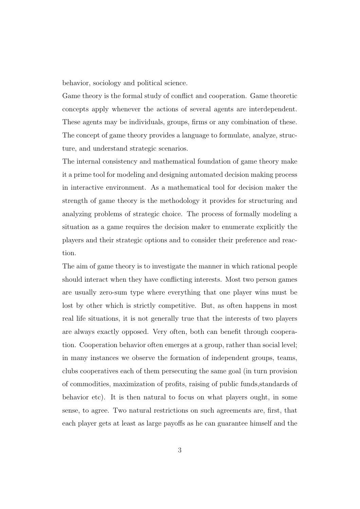behavior, sociology and political science.

Game theory is the formal study of conflict and cooperation. Game theoretic concepts apply whenever the actions of several agents are interdependent. These agents may be individuals, groups, firms or any combination of these. The concept of game theory provides a language to formulate, analyze, structure, and understand strategic scenarios.

The internal consistency and mathematical foundation of game theory make it a prime tool for modeling and designing automated decision making process in interactive environment. As a mathematical tool for decision maker the strength of game theory is the methodology it provides for structuring and analyzing problems of strategic choice. The process of formally modeling a situation as a game requires the decision maker to enumerate explicitly the players and their strategic options and to consider their preference and reaction.

The aim of game theory is to investigate the manner in which rational people should interact when they have conflicting interests. Most two person games are usually zero-sum type where everything that one player wins must be lost by other which is strictly competitive. But, as often happens in most real life situations, it is not generally true that the interests of two players are always exactly opposed. Very often, both can benefit through cooperation. Cooperation behavior often emerges at a group, rather than social level; in many instances we observe the formation of independent groups, teams, clubs cooperatives each of them persecuting the same goal (in turn provision of commodities, maximization of profits, raising of public funds,standards of behavior etc). It is then natural to focus on what players ought, in some sense, to agree. Two natural restrictions on such agreements are, first, that each player gets at least as large payoffs as he can guarantee himself and the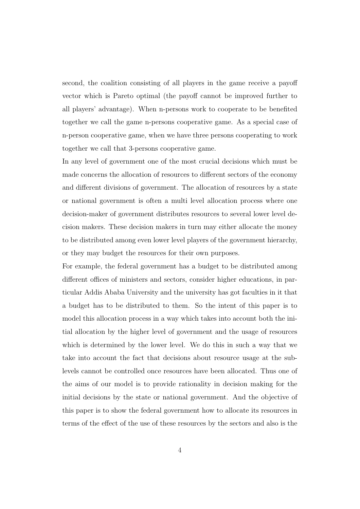second, the coalition consisting of all players in the game receive a payoff vector which is Pareto optimal (the payoff cannot be improved further to all players' advantage). When n-persons work to cooperate to be benefited together we call the game n-persons cooperative game. As a special case of n-person cooperative game, when we have three persons cooperating to work together we call that 3-persons cooperative game.

In any level of government one of the most crucial decisions which must be made concerns the allocation of resources to different sectors of the economy and different divisions of government. The allocation of resources by a state or national government is often a multi level allocation process where one decision-maker of government distributes resources to several lower level decision makers. These decision makers in turn may either allocate the money to be distributed among even lower level players of the government hierarchy, or they may budget the resources for their own purposes.

For example, the federal government has a budget to be distributed among different offices of ministers and sectors, consider higher educations, in particular Addis Ababa University and the university has got faculties in it that a budget has to be distributed to them. So the intent of this paper is to model this allocation process in a way which takes into account both the initial allocation by the higher level of government and the usage of resources which is determined by the lower level. We do this in such a way that we take into account the fact that decisions about resource usage at the sublevels cannot be controlled once resources have been allocated. Thus one of the aims of our model is to provide rationality in decision making for the initial decisions by the state or national government. And the objective of this paper is to show the federal government how to allocate its resources in terms of the effect of the use of these resources by the sectors and also is the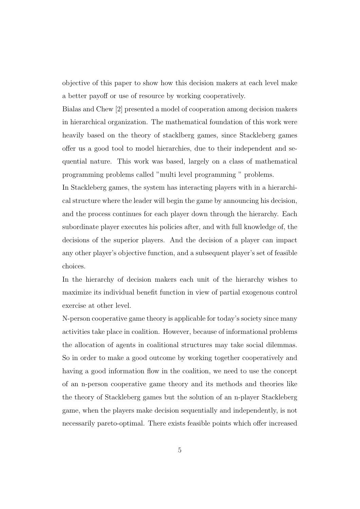objective of this paper to show how this decision makers at each level make a better payoff or use of resource by working cooperatively.

Bialas and Chew [2] presented a model of cooperation among decision makers in hierarchical organization. The mathematical foundation of this work were heavily based on the theory of stacklberg games, since Stackleberg games offer us a good tool to model hierarchies, due to their independent and sequential nature. This work was based, largely on a class of mathematical programming problems called "multi level programming " problems.

In Stackleberg games, the system has interacting players with in a hierarchical structure where the leader will begin the game by announcing his decision, and the process continues for each player down through the hierarchy. Each subordinate player executes his policies after, and with full knowledge of, the decisions of the superior players. And the decision of a player can impact any other player's objective function, and a subsequent player's set of feasible choices.

In the hierarchy of decision makers each unit of the hierarchy wishes to maximize its individual benefit function in view of partial exogenous control exercise at other level.

N-person cooperative game theory is applicable for today's society since many activities take place in coalition. However, because of informational problems the allocation of agents in coalitional structures may take social dilemmas. So in order to make a good outcome by working together cooperatively and having a good information flow in the coalition, we need to use the concept of an n-person cooperative game theory and its methods and theories like the theory of Stackleberg games but the solution of an n-player Stackleberg game, when the players make decision sequentially and independently, is not necessarily pareto-optimal. There exists feasible points which offer increased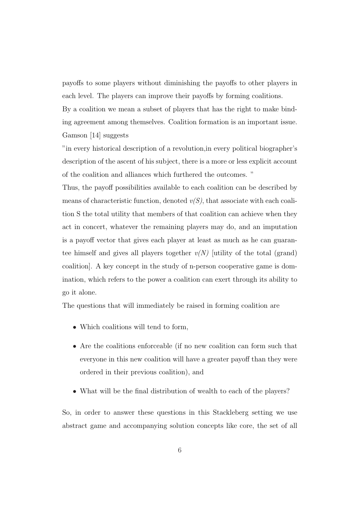payoffs to some players without diminishing the payoffs to other players in each level. The players can improve their payoffs by forming coalitions.

By a coalition we mean a subset of players that has the right to make binding agreement among themselves. Coalition formation is an important issue. Gamson [14] suggests

"in every historical description of a revolution,in every political biographer's description of the ascent of his subject, there is a more or less explicit account of the coalition and alliances which furthered the outcomes. "

Thus, the payoff possibilities available to each coalition can be described by means of characteristic function, denoted  $v(S)$ , that associate with each coalition S the total utility that members of that coalition can achieve when they act in concert, whatever the remaining players may do, and an imputation is a payoff vector that gives each player at least as much as he can guarantee himself and gives all players together  $v(N)$  utility of the total (grand) coalition]. A key concept in the study of n-person cooperative game is domination, which refers to the power a coalition can exert through its ability to go it alone.

The questions that will immediately be raised in forming coalition are

- Which coalitions will tend to form,
- Are the coalitions enforceable (if no new coalition can form such that everyone in this new coalition will have a greater payoff than they were ordered in their previous coalition), and
- What will be the final distribution of wealth to each of the players?

So, in order to answer these questions in this Stackleberg setting we use abstract game and accompanying solution concepts like core, the set of all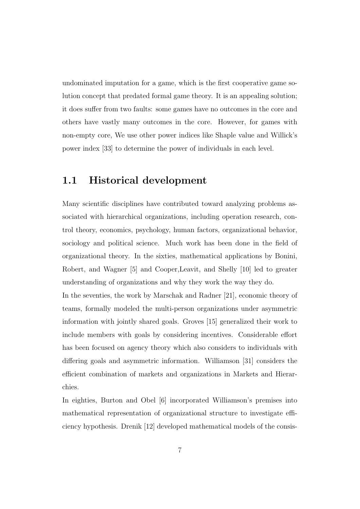undominated imputation for a game, which is the first cooperative game solution concept that predated formal game theory. It is an appealing solution; it does suffer from two faults: some games have no outcomes in the core and others have vastly many outcomes in the core. However, for games with non-empty core, We use other power indices like Shaple value and Willick's power index [33] to determine the power of individuals in each level.

### 1.1 Historical development

Many scientific disciplines have contributed toward analyzing problems associated with hierarchical organizations, including operation research, control theory, economics, psychology, human factors, organizational behavior, sociology and political science. Much work has been done in the field of organizational theory. In the sixties, mathematical applications by Bonini, Robert, and Wagner [5] and Cooper,Leavit, and Shelly [10] led to greater understanding of organizations and why they work the way they do.

In the seventies, the work by Marschak and Radner [21], economic theory of teams, formally modeled the multi-person organizations under asymmetric information with jointly shared goals. Groves [15] generalized their work to include members with goals by considering incentives. Considerable effort has been focused on agency theory which also considers to individuals with differing goals and asymmetric information. Williamson [31] considers the efficient combination of markets and organizations in Markets and Hierarchies.

In eighties, Burton and Obel [6] incorporated Williamson's premises into mathematical representation of organizational structure to investigate efficiency hypothesis. Drenik [12] developed mathematical models of the consis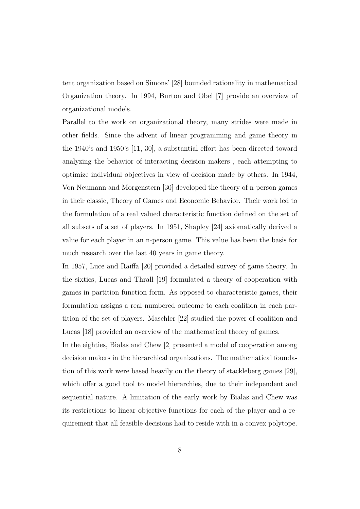tent organization based on Simons' [28] bounded rationality in mathematical Organization theory. In 1994, Burton and Obel [7] provide an overview of organizational models.

Parallel to the work on organizational theory, many strides were made in other fields. Since the advent of linear programming and game theory in the 1940's and 1950's [11, 30], a substantial effort has been directed toward analyzing the behavior of interacting decision makers , each attempting to optimize individual objectives in view of decision made by others. In 1944, Von Neumann and Morgenstern [30] developed the theory of n-person games in their classic, Theory of Games and Economic Behavior. Their work led to the formulation of a real valued characteristic function defined on the set of all subsets of a set of players. In 1951, Shapley [24] axiomatically derived a value for each player in an n-person game. This value has been the basis for much research over the last 40 years in game theory.

In 1957, Luce and Raiffa [20] provided a detailed survey of game theory. In the sixties, Lucas and Thrall [19] formulated a theory of cooperation with games in partition function form. As opposed to characteristic games, their formulation assigns a real numbered outcome to each coalition in each partition of the set of players. Maschler [22] studied the power of coalition and Lucas [18] provided an overview of the mathematical theory of games.

In the eighties, Bialas and Chew [2] presented a model of cooperation among decision makers in the hierarchical organizations. The mathematical foundation of this work were based heavily on the theory of stackleberg games [29], which offer a good tool to model hierarchies, due to their independent and sequential nature. A limitation of the early work by Bialas and Chew was its restrictions to linear objective functions for each of the player and a requirement that all feasible decisions had to reside with in a convex polytope.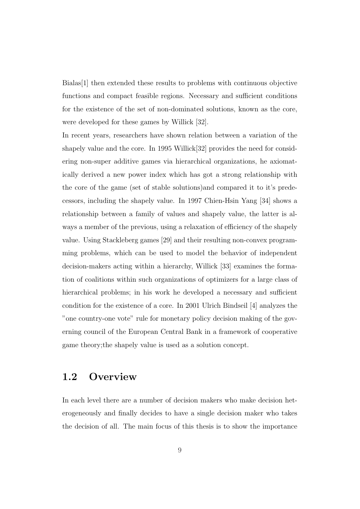Bialas[1] then extended these results to problems with continuous objective functions and compact feasible regions. Necessary and sufficient conditions for the existence of the set of non-dominated solutions, known as the core, were developed for these games by Willick [32].

In recent years, researchers have shown relation between a variation of the shapely value and the core. In 1995 Willick[32] provides the need for considering non-super additive games via hierarchical organizations, he axiomatically derived a new power index which has got a strong relationship with the core of the game (set of stable solutions)and compared it to it's predecessors, including the shapely value. In 1997 Chien-Hsin Yang [34] shows a relationship between a family of values and shapely value, the latter is always a member of the previous, using a relaxation of efficiency of the shapely value. Using Stackleberg games [29] and their resulting non-convex programming problems, which can be used to model the behavior of independent decision-makers acting within a hierarchy, Willick [33] examines the formation of coalitions within such organizations of optimizers for a large class of hierarchical problems; in his work he developed a necessary and sufficient condition for the existence of a core. In 2001 Ulrich Bindseil [4] analyzes the "one country-one vote" rule for monetary policy decision making of the governing council of the European Central Bank in a framework of cooperative game theory;the shapely value is used as a solution concept.

### 1.2 Overview

In each level there are a number of decision makers who make decision heterogeneously and finally decides to have a single decision maker who takes the decision of all. The main focus of this thesis is to show the importance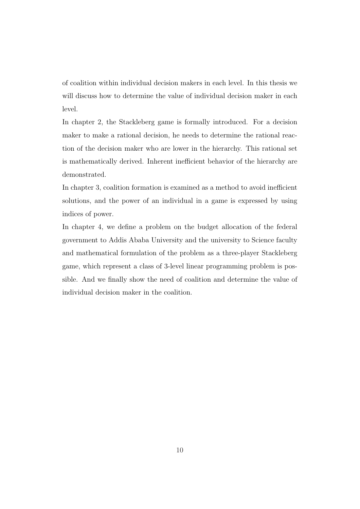of coalition within individual decision makers in each level. In this thesis we will discuss how to determine the value of individual decision maker in each level.

In chapter 2, the Stackleberg game is formally introduced. For a decision maker to make a rational decision, he needs to determine the rational reaction of the decision maker who are lower in the hierarchy. This rational set is mathematically derived. Inherent inefficient behavior of the hierarchy are demonstrated.

In chapter 3, coalition formation is examined as a method to avoid inefficient solutions, and the power of an individual in a game is expressed by using indices of power.

In chapter 4, we define a problem on the budget allocation of the federal government to Addis Ababa University and the university to Science faculty and mathematical formulation of the problem as a three-player Stackleberg game, which represent a class of 3-level linear programming problem is possible. And we finally show the need of coalition and determine the value of individual decision maker in the coalition.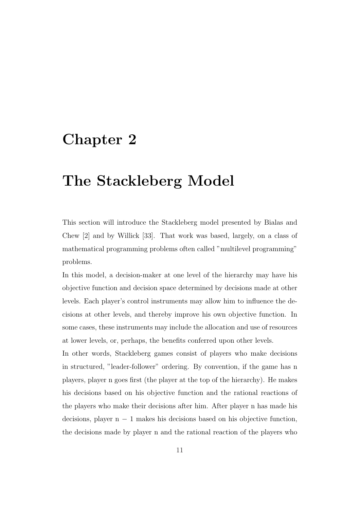## Chapter 2

## The Stackleberg Model

This section will introduce the Stackleberg model presented by Bialas and Chew [2] and by Willick [33]. That work was based, largely, on a class of mathematical programming problems often called "multilevel programming" problems.

In this model, a decision-maker at one level of the hierarchy may have his objective function and decision space determined by decisions made at other levels. Each player's control instruments may allow him to influence the decisions at other levels, and thereby improve his own objective function. In some cases, these instruments may include the allocation and use of resources at lower levels, or, perhaps, the benefits conferred upon other levels.

In other words, Stackleberg games consist of players who make decisions in structured, "leader-follower" ordering. By convention, if the game has n players, player n goes first (the player at the top of the hierarchy). He makes his decisions based on his objective function and the rational reactions of the players who make their decisions after him. After player n has made his decisions, player  $n - 1$  makes his decisions based on his objective function, the decisions made by player n and the rational reaction of the players who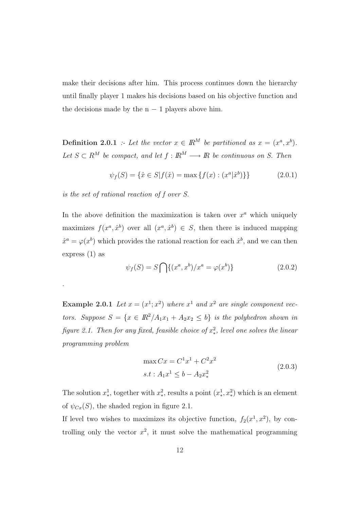make their decisions after him. This process continues down the hierarchy until finally player 1 makes his decisions based on his objective function and the decisions made by the  $n - 1$  players above him.

**Definition 2.0.1** :- Let the vector  $x \in \mathbb{R}^M$  be partitioned as  $x = (x^a, x^b)$ . Let  $S \subset R^M$  be compact, and let  $f : \mathbb{R}^M \longrightarrow \mathbb{R}$  be continuous on S. Then

$$
\psi_f(S) = \{\hat{x} \in S | f(\hat{x}) = \max \{f(x) : (x^a | \hat{x}^b) \} \}
$$
(2.0.1)

is the set of rational reaction of f over S.

.

In the above definition the maximization is taken over  $x^a$  which uniquely maximizes  $f(x^a, \hat{x}^b)$  over all  $(x^a, \hat{x}^b) \in S$ , then there is induced mapping  $\hat{x}^a = \varphi(x^b)$  which provides the rational reaction for each  $\hat{x}^b$ , and we can then express (1) as

$$
\psi_f(S) = S \bigcap \{ (x^a, x^b) / x^a = \varphi(x^b) \}
$$
 (2.0.2)

**Example 2.0.1** Let  $x = (x^1; x^2)$  where  $x^1$  and  $x^2$  are single component vectors. Suppose  $S = \{x \in \mathbb{R}^2 / A_1 x_1 + A_2 x_2 \leq b\}$  is the polyhedron shown in figure 2.1. Then for any fixed, feasible choice of  $x_*^2$ , level one solves the linear programming problem

$$
\max C x = C^1 x^1 + C^2 x^2
$$
  
s.t:  $A_1 x^1 \le b - A_2 x_*^2$  (2.0.3)

The solution  $x^1_*$ , together with  $x^2_*$ , results a point  $(x^1_*, x^2_*)$  which is an element of  $\psi_{Cx}(S)$ , the shaded region in figure 2.1.

If level two wishes to maximizes its objective function,  $f_2(x^1, x^2)$ , by controlling only the vector  $x^2$ , it must solve the mathematical programming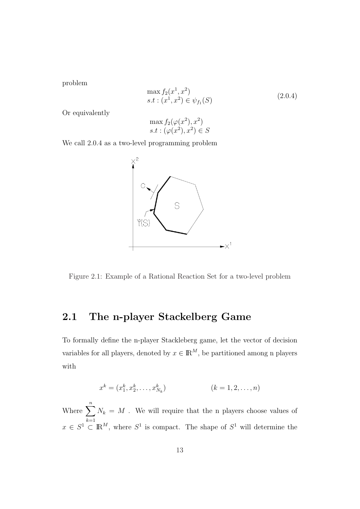problem

$$
\max f_2(x^1, x^2) s.t: (x^1, x^2) \in \psi_{f_1}(S)
$$
\n(2.0.4)

Or equivalently

$$
\max f_2(\varphi(x^2), x^2)
$$
  
s.t:  $(\varphi(x^2), x^2) \in S$ 

We call 2.0.4 as a two-level programming problem



Figure 2.1: Example of a Rational Reaction Set for a two-level problem

### 2.1 The n-player Stackelberg Game

To formally define the n-player Stackleberg game, let the vector of decision variables for all players, denoted by  $x \in \mathbb{R}^M$ , be partitioned among n players with

$$
x^{k} = (x_{1}^{k}, x_{2}^{k}, \dots, x_{N_{k}}^{k})
$$
 (k = 1, 2, ..., n)

Where  $\sum_{n=1}^n$  $k=1$  $N_k = M$ . We will require that the n players choose values of  $x \in S^1 \subset \mathbb{R}^M$ , where  $S^1$  is compact. The shape of  $S^1$  will determine the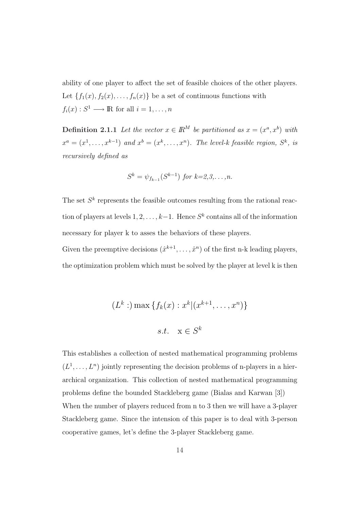ability of one player to affect the set of feasible choices of the other players. Let  $\{f_1(x), f_2(x), \ldots, f_n(x)\}\$ be a set of continuous functions with  $f_i(x): S^1 \longrightarrow \mathbb{R}$  for all  $i = 1, \ldots, n$ 

**Definition 2.1.1** Let the vector  $x \in \mathbb{R}^M$  be partitioned as  $x = (x^a, x^b)$  with  $x^a = (x^1, \ldots, x^{k-1})$  and  $x^b = (x^k, \ldots, x^n)$ . The level-k feasible region,  $S^k$ , is recursively defined as

$$
S^k = \psi_{f_{k-1}}(S^{k-1}) \text{ for } k=2,3,\ldots,n.
$$

The set  $S<sup>k</sup>$  represents the feasible outcomes resulting from the rational reaction of players at levels  $1, 2, \ldots, k-1$ . Hence  $S<sup>k</sup>$  contains all of the information necessary for player k to asses the behaviors of these players.

Given the preemptive decisions  $(\hat{x}^{k+1}, \ldots, \hat{x}^n)$  of the first n-k leading players, the optimization problem which must be solved by the player at level k is then

$$
(L^k: ) \max \{ f_k(x) : x^k | (x^{k+1}, \dots, x^n) \}
$$
  
s.t.  $x \in S^k$ 

This establishes a collection of nested mathematical programming problems  $(L^1, \ldots, L^n)$  jointly representing the decision problems of n-players in a hierarchical organization. This collection of nested mathematical programming problems define the bounded Stackleberg game (Bialas and Karwan [3]) When the number of players reduced from n to 3 then we will have a 3-player Stackleberg game. Since the intension of this paper is to deal with 3-person cooperative games, let's define the 3-player Stackleberg game.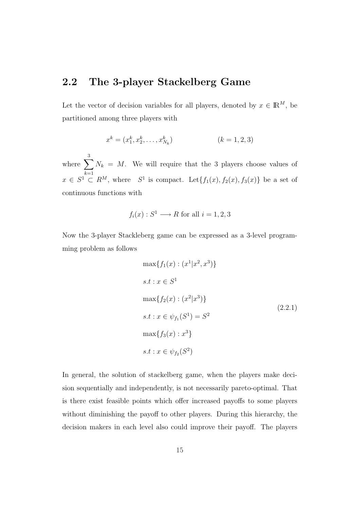### 2.2 The 3-player Stackelberg Game

Let the vector of decision variables for all players, denoted by  $x \in \mathbb{R}^M$ , be partitioned among three players with

$$
x^{k} = (x_{1}^{k}, x_{2}^{k}, \dots, x_{N_{k}}^{k})
$$
 (k = 1, 2, 3)

where  $\sum_{n=1}^3$  $k=1$  $N_k = M$ . We will require that the 3 players choose values of  $x \in S^1 \subset R^M$ , where  $S^1$  is compact. Let  $\{f_1(x), f_2(x), f_3(x)\}$  be a set of continuous functions with

$$
f_i(x): S^1 \longrightarrow R
$$
 for all  $i = 1, 2, 3$ 

Now the 3-player Stackleberg game can be expressed as a 3-level programming problem as follows

$$
\max\{f_1(x) : (x^1|x^2, x^3)\}
$$
  
s.t :  $x \in S^1$   

$$
\max\{f_2(x) : (x^2|x^3)\}
$$
  
s.t :  $x \in \psi_{f_1}(S^1) = S^2$   

$$
\max\{f_3(x) : x^3\}
$$
  
s.t :  $x \in \psi_{f_2}(S^2)$ 

In general, the solution of stackelberg game, when the players make decision sequentially and independently, is not necessarily pareto-optimal. That is there exist feasible points which offer increased payoffs to some players without diminishing the payoff to other players. During this hierarchy, the decision makers in each level also could improve their payoff. The players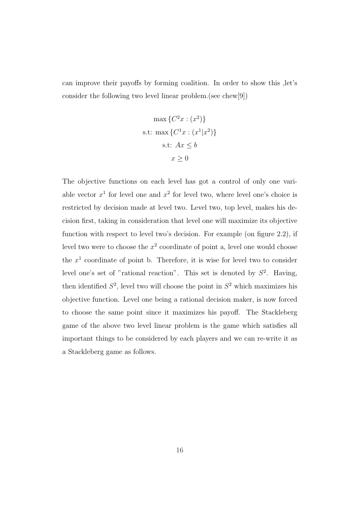can improve their payoffs by forming coalition. In order to show this ,let's consider the following two level linear problem.(see chew[9])

$$
\max \{C^2x : (x^2)\}
$$
  
s.t: max  $\{C^1x : (x^1|x^2)\}$   
s.t:  $Ax \le b$   
 $x \ge 0$ 

The objective functions on each level has got a control of only one variable vector  $x^1$  for level one and  $x^2$  for level two, where level one's choice is restricted by decision made at level two. Level two, top level, makes his decision first, taking in consideration that level one will maximize its objective function with respect to level two's decision. For example (on figure 2.2), if level two were to choose the  $x^2$  coordinate of point a, level one would choose the  $x^1$  coordinate of point b. Therefore, it is wise for level two to consider level one's set of "rational reaction". This set is denoted by  $S^2$ . Having, then identified  $S^2$ , level two will choose the point in  $S^2$  which maximizes his objective function. Level one being a rational decision maker, is now forced to choose the same point since it maximizes his payoff. The Stackleberg game of the above two level linear problem is the game which satisfies all important things to be considered by each players and we can re-write it as a Stackleberg game as follows.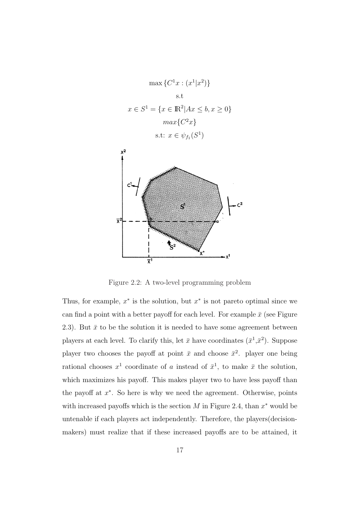



Figure 2.2: A two-level programming problem

Thus, for example,  $x^*$  is the solution, but  $x^*$  is not pareto optimal since we can find a point with a better payoff for each level. For example  $\bar{x}$  (see Figure 2.3). But  $\bar{x}$  to be the solution it is needed to have some agreement between players at each level. To clarify this, let  $\bar{x}$  have coordinates  $(\bar{x}^1, \bar{x}^2)$ . Suppose player two chooses the payoff at point  $\bar{x}$  and choose  $\bar{x}^2$ . player one being rational chooses  $x^1$  coordinate of a instead of  $\bar{x}^1$ , to make  $\bar{x}$  the solution, which maximizes his payoff. This makes player two to have less payoff than the payoff at  $x^*$ . So here is why we need the agreement. Otherwise, points with increased payoffs which is the section  $M$  in Figure 2.4, than  $x^*$  would be untenable if each players act independently. Therefore, the players(decisionmakers) must realize that if these increased payoffs are to be attained, it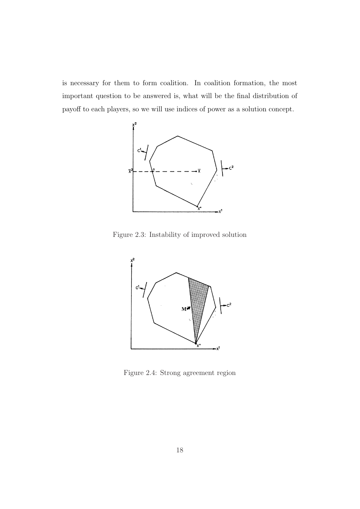is necessary for them to form coalition. In coalition formation, the most important question to be answered is, what will be the final distribution of payoff to each players, so we will use indices of power as a solution concept.



Figure 2.3: Instability of improved solution



Figure 2.4: Strong agreement region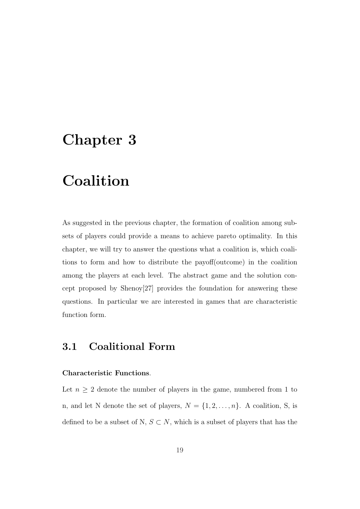## Chapter 3

## Coalition

As suggested in the previous chapter, the formation of coalition among subsets of players could provide a means to achieve pareto optimality. In this chapter, we will try to answer the questions what a coalition is, which coalitions to form and how to distribute the payoff(outcome) in the coalition among the players at each level. The abstract game and the solution concept proposed by Shenoy[27] provides the foundation for answering these questions. In particular we are interested in games that are characteristic function form.

### 3.1 Coalitional Form

#### Characteristic Functions.

Let  $n \geq 2$  denote the number of players in the game, numbered from 1 to n, and let N denote the set of players,  $N = \{1, 2, ..., n\}$ . A coalition, S, is defined to be a subset of N,  $S \subset N$ , which is a subset of players that has the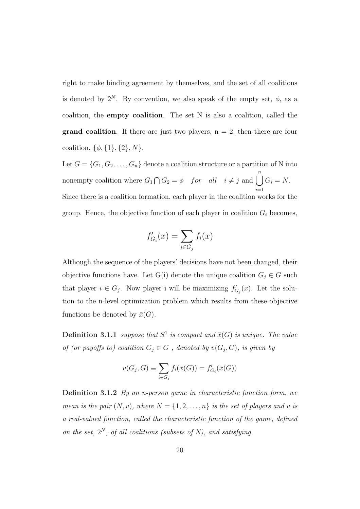right to make binding agreement by themselves, and the set of all coalitions is denoted by  $2^N$ . By convention, we also speak of the empty set,  $\phi$ , as a coalition, the empty coalition. The set N is also a coalition, called the **grand coalition**. If there are just two players,  $n = 2$ , then there are four coalition,  $\{\phi, \{1\}, \{2\}, N\}.$ 

Let  $G = \{G_1, G_2, \ldots, G_n\}$  denote a coalition structure or a partition of N into nonempty coalition where  $G_1$  $\bigcap G_2 = \phi$  for all  $i \neq j$  and  $\bigcap^{n}$  $i=1$  $G_i = N$ . Since there is a coalition formation, each player in the coalition works for the group. Hence, the objective function of each player in coalition  $G_i$  becomes,

$$
f'_{G_i}(x) = \sum_{i \in G_j} f_i(x)
$$

Although the sequence of the players' decisions have not been changed, their objective functions have. Let G(i) denote the unique coalition  $G_j \in G$  such that player  $i \in G_j$ . Now player i will be maximizing  $f'_{G_j}(x)$ . Let the solution to the n-level optimization problem which results from these objective functions be denoted by  $\bar{x}(G)$ .

**Definition 3.1.1** suppose that  $S^1$  is compact and  $\bar{x}(G)$  is unique. The value of (or payoffs to) coalition  $G_j \in G$ , denoted by  $v(G_j, G)$ , is given by

$$
v(G_j, G) \equiv \sum_{i \in G_j} f_i(\bar{x}(G)) = f'_{G_i}(\bar{x}(G))
$$

Definition 3.1.2 By an n-person game in characteristic function form, we mean is the pair  $(N, v)$ , where  $N = \{1, 2, ..., n\}$  is the set of players and v is a real-valued function, called the characteristic function of the game, defined on the set,  $2^N$ , of all coalitions (subsets of N), and satisfying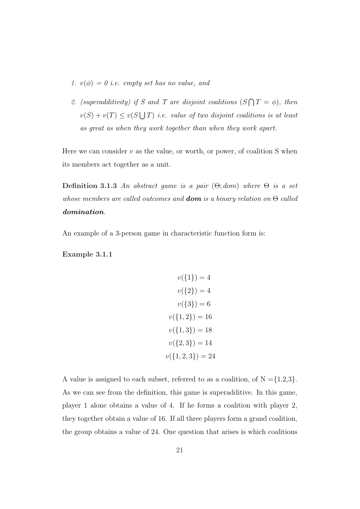- 1.  $v(\phi) = 0$  i.e. empty set has no value, and
- 2. (superadditivity) if S and T are disjoint coalitions (S  $\overline{a}$  $T = \phi$ ), then  $v(S) + v(T) \le v(S)$ S T) i.e. value of two disjoint coalitions is at least as great as when they work together than when they work apart.

Here we can consider  $v$  as the value, or worth, or power, of coalition S when its members act together as a unit.

Definition 3.1.3 An abstract game is a pair  $(\Theta; dom)$  where  $\Theta$  is a set whose members are called outcomes and **dom** is a binary relation on  $\Theta$  called domination.

An example of a 3-person game in characteristic function form is:

Example 3.1.1

$$
v({1}) = 4
$$

$$
v({2}) = 4
$$

$$
v({3}) = 6
$$

$$
v({1, 2}) = 16
$$

$$
v({1, 3}) = 18
$$

$$
v({2, 3}) = 14
$$

$$
v({1, 2, 3}) = 24
$$

A value is assigned to each subset, referred to as a coalition, of  $N = \{1,2,3\}.$ As we can see from the definition, this game is superadditive. In this game, player 1 alone obtains a value of 4. If he forms a coalition with player 2, they together obtain a value of 16. If all three players form a grand coalition, the group obtains a value of 24. One question that arises is which coalitions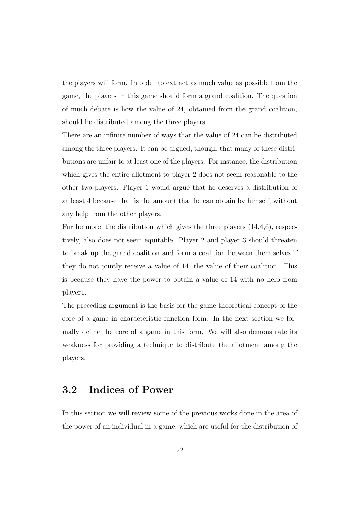the players will form. In order to extract as much value as possible from the game, the players in this game should form a grand coalition. The question of much debate is how the value of 24, obtained from the grand coalition, should be distributed among the three players.

There are an infinite number of ways that the value of 24 can be distributed among the three players. It can be argued, though, that many of these distributions are unfair to at least one of the players. For instance, the distribution which gives the entire allotment to player 2 does not seem reasonable to the other two players. Player 1 would argue that he deserves a distribution of at least 4 because that is the amount that he can obtain by himself, without any help from the other players.

Furthermore, the distribution which gives the three players  $(14,4,6)$ , respectively, also does not seem equitable. Player 2 and player 3 should threaten to break up the grand coalition and form a coalition between them selves if they do not jointly receive a value of 14, the value of their coalition. This is because they have the power to obtain a value of 14 with no help from player1.

The preceding argument is the basis for the game theoretical concept of the core of a game in characteristic function form. In the next section we formally define the core of a game in this form. We will also demonstrate its weakness for providing a technique to distribute the allotment among the players.

### 3.2 Indices of Power

In this section we will review some of the previous works done in the area of the power of an individual in a game, which are useful for the distribution of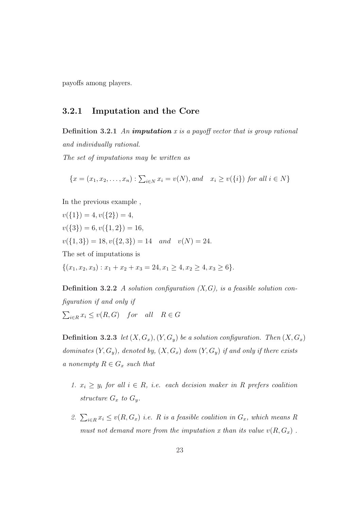payoffs among players.

#### 3.2.1 Imputation and the Core

**Definition 3.2.1** An **imputation** x is a payoff vector that is group rational and individually rational.

The set of imputations may be written as

$$
\{x = (x_1, x_2, \dots, x_n) : \sum_{i \in N} x_i = v(N), and \quad x_i \ge v(\{i\}) \text{ for all } i \in N\}
$$

In the previous example ,

 $v({1}) = 4, v({2}) = 4,$  $v({3}) = 6, v({1, 2}) = 16,$  $v({1, 3}) = 18, v({2, 3}) = 14$  and  $v(N) = 24$ . The set of imputations is  $\{(x_1, x_2, x_3) : x_1 + x_2 + x_3 = 24, x_1 \ge 4, x_2 \ge 4, x_3 \ge 6\}.$ 

**Definition 3.2.2** A solution configuration  $(X, G)$ , is a feasible solution configuration if and only if  $\overline{ }$  $i \in R$   $x_i \leq v(R, G)$  for all  $R \in G$ 

**Definition 3.2.3** let  $(X, G_x)$ ,  $(Y, G_y)$  be a solution configuration. Then  $(X, G_x)$ dominates  $(Y, G_y)$ , denoted by,  $(X, G_x)$  dom  $(Y, G_y)$  if and only if there exists a nonempty  $R \in G_x$  such that

- 1.  $x_i \geq y_i$  for all  $i \in R$ , i.e. each decision maker in R prefers coalition structure  $G_x$  to  $G_y$ .
- 2.  $\sum_{i \in R} x_i \le v(R, G_x)$  i.e. R is a feasible coalition in  $G_x$ , which means R must not demand more from the imputation x than its value  $v(R, G_x)$ .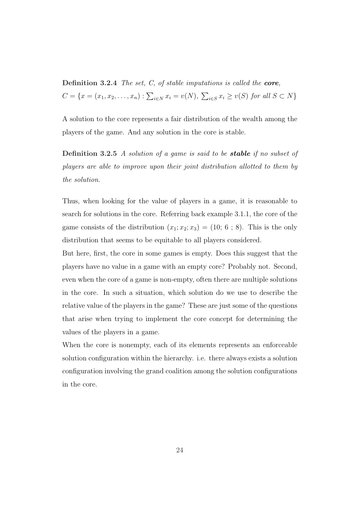Definition 3.2.4 The set, C, of stable imputations is called the core,  $C = \{x = (x_1, x_2, \ldots, x_n) : \sum_{i \in N} x_i = v(N),\}$  $\overline{ }$  $i \in S$   $x_i \ge v(S)$  for all  $S \subset N$ }

A solution to the core represents a fair distribution of the wealth among the players of the game. And any solution in the core is stable.

Definition 3.2.5 A solution of a game is said to be **stable** if no subset of players are able to improve upon their joint distribution allotted to them by the solution.

Thus, when looking for the value of players in a game, it is reasonable to search for solutions in the core. Referring back example 3.1.1, the core of the game consists of the distribution  $(x_1; x_2; x_3) = (10; 6; 8)$ . This is the only distribution that seems to be equitable to all players considered.

But here, first, the core in some games is empty. Does this suggest that the players have no value in a game with an empty core? Probably not. Second, even when the core of a game is non-empty, often there are multiple solutions in the core. In such a situation, which solution do we use to describe the relative value of the players in the game? These are just some of the questions that arise when trying to implement the core concept for determining the values of the players in a game.

When the core is nonempty, each of its elements represents an enforceable solution configuration within the hierarchy. i.e. there always exists a solution configuration involving the grand coalition among the solution configurations in the core.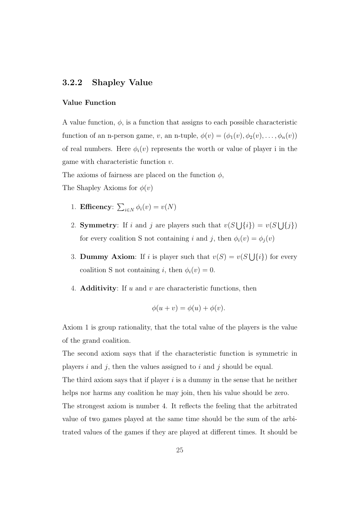#### 3.2.2 Shapley Value

#### Value Function

A value function,  $\phi$ , is a function that assigns to each possible characteristic function of an n-person game, v, an n-tuple,  $\phi(v) = (\phi_1(v), \phi_2(v), \dots, \phi_n(v))$ of real numbers. Here  $\phi_i(v)$  represents the worth or value of player i in the game with characteristic function v.

The axioms of fairness are placed on the function  $\phi$ ,

The Shapley Axioms for  $\phi(v)$ 

- 1. Efficency:  $\overline{ }$  $i\in N$   $\phi_i(v) = v(N)$
- 2. **Symmetry**: If i and j are players such that  $v(S)$ S  ${i}$ ) =  $v(S)$ S  ${j})$ for every coalition S not containing i and j, then  $\phi_i(v) = \phi_j(v)$
- 3. Dummy Axiom: If i is player such that  $v(S) = v(S)$ S  $\{i\}$  for every coalition S not containing i, then  $\phi_i(v) = 0$ .
- 4. **Additivity**: If u and v are characteristic functions, then

$$
\phi(u+v) = \phi(u) + \phi(v).
$$

Axiom 1 is group rationality, that the total value of the players is the value of the grand coalition.

The second axiom says that if the characteristic function is symmetric in players i and j, then the values assigned to i and j should be equal. The third axiom says that if player  $i$  is a dummy in the sense that he neither helps nor harms any coalition he may join, then his value should be zero. The strongest axiom is number 4. It reflects the feeling that the arbitrated value of two games played at the same time should be the sum of the arbitrated values of the games if they are played at different times. It should be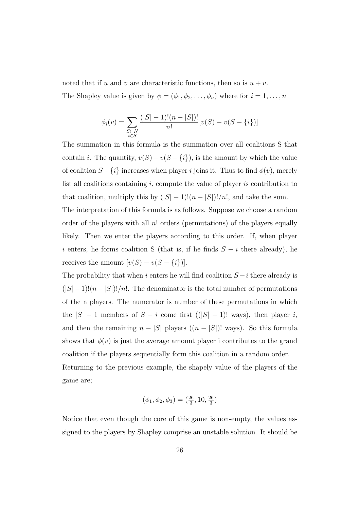noted that if u and v are characteristic functions, then so is  $u + v$ . The Shapley value is given by  $\phi = (\phi_1, \phi_2, \dots, \phi_n)$  where for  $i = 1, \dots, n$ 

$$
\phi_i(v) = \sum_{\substack{S \subset N \\ i \in S}} \frac{(|S| - 1)!(n - |S|)!}{n!} [v(S) - v(S - \{i\})]
$$

The summation in this formula is the summation over all coalitions S that contain *i*. The quantity,  $v(S) - v(S - \{i\})$ , is the amount by which the value of coalition  $S - \{i\}$  increases when player i joins it. Thus to find  $\phi(v)$ , merely list all coalitions containing  $i$ , compute the value of player is contribution to that coalition, multiply this by  $(|S| - 1)!(n - |S|)!/n!$ , and take the sum.

The interpretation of this formula is as follows. Suppose we choose a random order of the players with all  $n!$  orders (permutations) of the players equally likely. Then we enter the players according to this order. If, when player i enters, he forms coalition S (that is, if he finds  $S - i$  there already), he receives the amount  $[v(S) - v(S - \{i\})]$ .

The probability that when i enters he will find coalition  $S - i$  there already is  $(|S| - 1)!(n - |S|)!/n!$ . The denominator is the total number of permutations of the n players. The numerator is number of these permutations in which the  $|S| - 1$  members of  $S - i$  come first  $((|S| - 1)!$  ways), then player i, and then the remaining  $n - |S|$  players  $((n - |S|)!$  ways). So this formula shows that  $\phi(v)$  is just the average amount player i contributes to the grand coalition if the players sequentially form this coalition in a random order. Returning to the previous example, the shapely value of the players of the game are;

$$
(\phi_1, \phi_2, \phi_3) = (\frac{26}{3}, 10, \frac{26}{3})
$$

Notice that even though the core of this game is non-empty, the values assigned to the players by Shapley comprise an unstable solution. It should be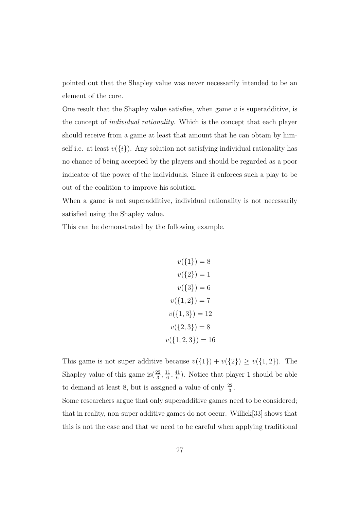pointed out that the Shapley value was never necessarily intended to be an element of the core.

One result that the Shapley value satisfies, when game  $v$  is superadditive, is the concept of individual rationality. Which is the concept that each player should receive from a game at least that amount that he can obtain by himself i.e. at least  $v({i})$ . Any solution not satisfying individual rationality has no chance of being accepted by the players and should be regarded as a poor indicator of the power of the individuals. Since it enforces such a play to be out of the coalition to improve his solution.

When a game is not superadditive, individual rationality is not necessarily satisfied using the Shapley value.

This can be demonstrated by the following example.

 $v({1}) = 8$  $v({2}) = 1$  $v({3}) = 6$  $v({1, 2}) = 7$  $v({1,3}) = 12$  $v({2,3}) = 8$  $v({1, 2, 3}) = 16$ 

This game is not super additive because  $v({1}) + v({2}) \ge v({1, 2})$ . The Shapley value of this game is  $(\frac{22}{3}, \frac{11}{6})$  $\frac{11}{6}$ ,  $\frac{41}{6}$  $\frac{11}{6}$ ). Notice that player 1 should be able to demand at least 8, but is assigned a value of only  $\frac{22}{3}$ .

Some researchers argue that only superadditive games need to be considered; that in reality, non-super additive games do not occur. Willick[33] shows that this is not the case and that we need to be careful when applying traditional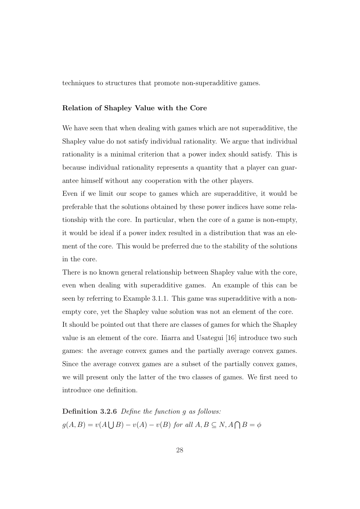techniques to structures that promote non-superadditive games.

#### Relation of Shapley Value with the Core

We have seen that when dealing with games which are not superadditive, the Shapley value do not satisfy individual rationality. We argue that individual rationality is a minimal criterion that a power index should satisfy. This is because individual rationality represents a quantity that a player can guarantee himself without any cooperation with the other players.

Even if we limit our scope to games which are superadditive, it would be preferable that the solutions obtained by these power indices have some relationship with the core. In particular, when the core of a game is non-empty, it would be ideal if a power index resulted in a distribution that was an element of the core. This would be preferred due to the stability of the solutions in the core.

There is no known general relationship between Shapley value with the core, even when dealing with superadditive games. An example of this can be seen by referring to Example 3.1.1. This game was superadditive with a nonempty core, yet the Shapley value solution was not an element of the core. It should be pointed out that there are classes of games for which the Shapley value is an element of the core. In arra and Usategui [16] introduce two such games: the average convex games and the partially average convex games. Since the average convex games are a subset of the partially convex games, we will present only the latter of the two classes of games. We first need to introduce one definition.

Definition 3.2.6 Define the function q as follows:  $g(A, B) = v(A)$  $\bigcup B$  –  $v(A)$  –  $v(B)$  for all  $A, B \subseteq N, A \cap B = \phi$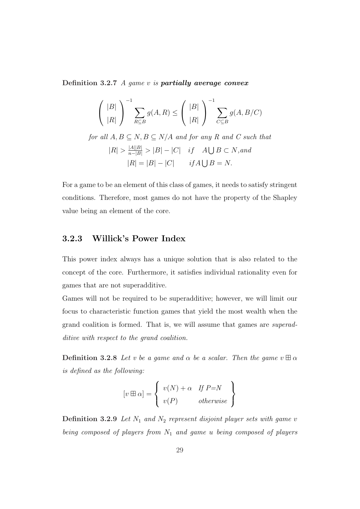Definition 3.2.7  $\Lambda$  game v is **partially average convex** 

$$
\left(\begin{array}{c} |B| \\ |R| \end{array}\right)^{-1} \sum_{R \subseteq B} g(A, R) \le \left(\begin{array}{c} |B| \\ |R| \end{array}\right)^{-1} \sum_{C \subseteq B} g(A, B/C)
$$

for all  $A, B \subseteq N, B \subseteq N/A$  and for any R and C such that  $|R| > \frac{|A||B|}{n-|B|} > |B| - |C|$  if  $A \bigcup B \subset N$ , and  $|R| = |B| - |C|$  if  $A \bigcup B = N$ .

For a game to be an element of this class of games, it needs to satisfy stringent conditions. Therefore, most games do not have the property of the Shapley value being an element of the core.

#### 3.2.3 Willick's Power Index

This power index always has a unique solution that is also related to the concept of the core. Furthermore, it satisfies individual rationality even for games that are not superadditive.

Games will not be required to be superadditive; however, we will limit our focus to characteristic function games that yield the most wealth when the grand coalition is formed. That is, we will assume that games are superadditive with respect to the grand coalition.

**Definition 3.2.8** Let v be a game and  $\alpha$  be a scalar. Then the game  $v \boxplus \alpha$ is defined as the following:

$$
[v \boxplus \alpha] = \left\{ \begin{array}{ll} v(N) + \alpha & \text{If } P = N \\ v(P) & \text{otherwise} \end{array} \right\}
$$

**Definition 3.2.9** Let  $N_1$  and  $N_2$  represent disjoint player sets with game v being composed of players from  $N_1$  and game u being composed of players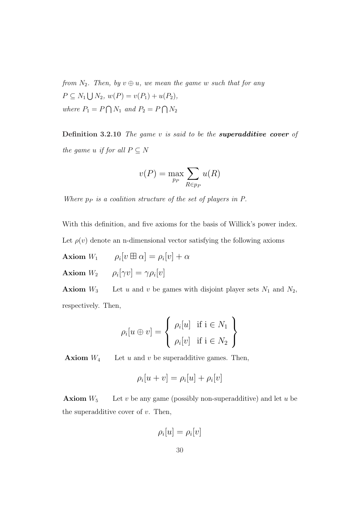from  $N_2$ . Then, by  $v \oplus u$ , we mean the game w such that for any  $P \subseteq N_1$ S  $N_2, w(P) = v(P_1) + u(P_2),$ where  $P_1 = F$  $\overline{a}$  $N_1$  and  $P_2 = P$  $\overline{a}$  $N_2$ 

**Definition 3.2.10** The game v is said to be the **superadditive cover** of the game u if for all  $P \subseteq N$ 

$$
v(P) = \max_{p_P} \sum_{R \in p_P} u(R)
$$

Where  $p_P$  is a coalition structure of the set of players in  $P$ .

With this definition, and five axioms for the basis of Willick's power index.

Let  $\rho(v)$  denote an n-dimensional vector satisfying the following axioms

Axiom  $W_1$   $\rho_i[v \boxplus \alpha] = \rho_i[v] + \alpha$ Axiom  $W_2$   $\rho_i[\gamma v] = \gamma \rho_i[v]$ 

**Axiom**  $W_3$  Let u and v be games with disjoint player sets  $N_1$  and  $N_2$ , respectively. Then,

$$
\rho_i[u \oplus v] = \begin{cases} \rho_i[u] & \text{if } i \in N_1 \\ \rho_i[v] & \text{if } i \in N_2 \end{cases}
$$

**Axiom**  $W_4$  Let u and v be superadditive games. Then,

$$
\rho_i[u+v] = \rho_i[u] + \rho_i[v]
$$

**Axiom**  $W_5$  Let v be any game (possibly non-superadditive) and let u be the superadditive cover of  $v$ . Then,

$$
\rho_i[u] = \rho_i[v]
$$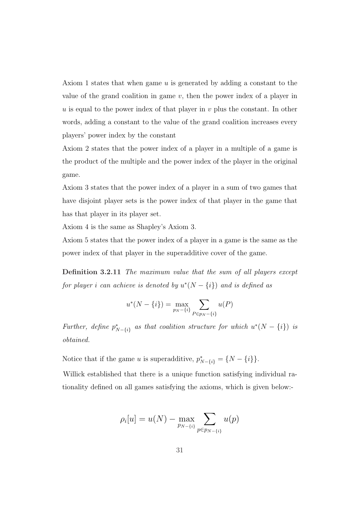Axiom 1 states that when game u is generated by adding a constant to the value of the grand coalition in game  $v$ , then the power index of a player in  $u$  is equal to the power index of that player in  $v$  plus the constant. In other words, adding a constant to the value of the grand coalition increases every players' power index by the constant

Axiom 2 states that the power index of a player in a multiple of a game is the product of the multiple and the power index of the player in the original game.

Axiom 3 states that the power index of a player in a sum of two games that have disjoint player sets is the power index of that player in the game that has that player in its player set.

Axiom 4 is the same as Shapley's Axiom 3.

Axiom 5 states that the power index of a player in a game is the same as the power index of that player in the superadditive cover of the game.

Definition 3.2.11 The maximum value that the sum of all players except for player i can achieve is denoted by  $u^*(N - \{i\})$  and is defined as

$$
u^*(N - \{i\}) = \max_{p_N - \{i\}} \sum_{P \in p_N - \{i\}} u(P)
$$

Further, define  $p_{N-\lbrace i \rbrace}^*$  as that coalition structure for which  $u^*(N-\lbrace i \rbrace)$  is obtained.

Notice that if the game u is superadditive,  $p_{N-\{i\}}^* = \{N - \{i\}\}.$ 

Willick established that there is a unique function satisfying individual rationality defined on all games satisfying the axioms, which is given below:-

$$
\rho_i[u] = u(N) - \max_{p_{N-\{i\}}} \sum_{p \in p_{N-\{i\}}} u(p)
$$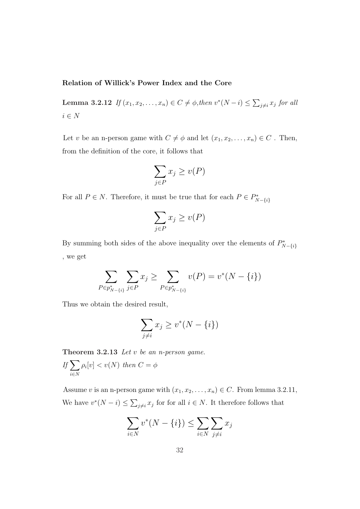#### Relation of Willick's Power Index and the Core

Lemma 3.2.12 If  $(x_1, x_2, ..., x_n) \in C \neq \emptyset$ , then  $v^*(N - i) \leq$  $\overline{ }$  $_{j\neq i} x_j$  for all  $i \in N$ 

Let v be an n-person game with  $C\neq \phi$  and let  $(x_1, x_2, \ldots, x_n)\in C$  . Then, from the definition of the core, it follows that

$$
\sum_{j \in P} x_j \ge v(P)
$$

For all  $P \in N$ . Therefore, it must be true that for each  $P \in P^*_{N-\{i\}}$ 

$$
\sum_{j \in P} x_j \ge v(P)
$$

By summing both sides of the above inequality over the elements of  $P^*_{N-\{i\}}$ , we get

$$
\sum_{P \in p_{N-\{i\}}^*} \sum_{j \in P} x_j \ge \sum_{P \in p_{N-\{i\}}^*} v(P) = v^*(N - \{i\})
$$

Thus we obtain the desired result,

$$
\sum_{j \neq i} x_j \ge v^*(N - \{i\})
$$

**Theorem 3.2.13** Let  $v$  be an *n*-person game.

$$
If \sum_{i \in N} \rho_i[v] < v(N) \text{ then } C = \phi
$$

Assume v is an n-person game with  $(x_1, x_2, \ldots, x_n) \in C$ . From lemma 3.2.11, We have  $v^*(N - i) \leq$  $\overline{ }$  $j\neq i$  as for for all  $i \in N$ . It therefore follows that

$$
\sum_{i \in N} v^*(N - \{i\}) \le \sum_{i \in N} \sum_{j \neq i} x_j
$$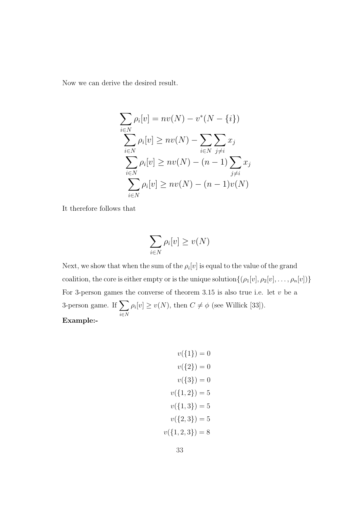Now we can derive the desired result.

$$
\sum_{i \in N} \rho_i[v] = nv(N) - v^*(N - \{i\})
$$
  

$$
\sum_{i \in N} \rho_i[v] \ge nv(N) - \sum_{i \in N} \sum_{j \ne i} x_j
$$
  

$$
\sum_{i \in N} \rho_i[v] \ge nv(N) - (n - 1) \sum_{j \ne i} x_j
$$
  

$$
\sum_{i \in N} \rho_i[v] \ge nv(N) - (n - 1)v(N)
$$

It therefore follows that

$$
\sum_{i\in N} \rho_i[v] \ge v(N)
$$

Next, we show that when the sum of the  $\rho_i[v]$  is equal to the value of the grand coalition, the core is either empty or is the unique solution $\{(\rho_1[v], \rho_2[v], \ldots, \rho_n[v])\}$ For 3-person games the converse of theorem 3.15 is also true i.e. let  $v$  be a  $3$ -person game. If  $\sum$ i∈N  $\rho_i[v] \ge v(N)$ , then  $C \ne \phi$  (see Willick [33]). Example:-

$$
v({1}) = 0
$$

$$
v({2}) = 0
$$

$$
v({3}) = 0
$$

$$
v({1, 2}) = 5
$$

$$
v({1, 3}) = 5
$$

$$
v({2, 3}) = 5
$$

$$
v({1, 2, 3}) = 8
$$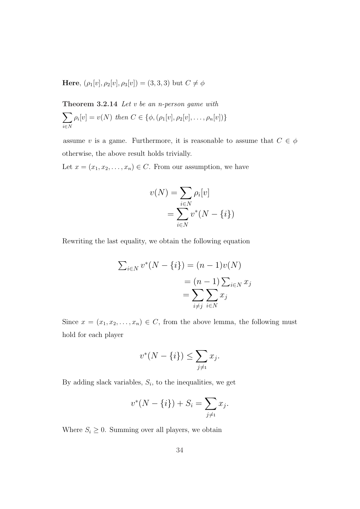Here,  $(\rho_1[v], \rho_2[v], \rho_3[v]) = (3, 3, 3)$  but  $C \neq \phi$ 

**Theorem 3.2.14** *Let v be an n*-*person game with*\n
$$
\sum_{i \in N} \rho_i[v] = v(N) \text{ then } C \in \{\phi, (\rho_1[v], \rho_2[v], \dots, \rho_n[v])\}
$$

assume v is a game. Furthermore, it is reasonable to assume that  $C \in \phi$ otherwise, the above result holds trivially.

Let  $x = (x_1, x_2, \ldots, x_n) \in C$ . From our assumption, we have

$$
v(N) = \sum_{i \in N} \rho_i[v]
$$

$$
= \sum_{i \in N} v^*(N - \{i\})
$$

Rewriting the last equality, we obtain the following equation

$$
\sum_{i \in N} v^*(N - \{i\}) = (n - 1)v(N)
$$

$$
= (n - 1) \sum_{i \in N} x_i
$$

$$
= \sum_{i \neq j} \sum_{i \in N} x_j
$$

Since  $x = (x_1, x_2, \ldots, x_n) \in C$ , from the above lemma, the following must hold for each player

$$
v^*(N - \{i\}) \le \sum_{j \neq i} x_j.
$$

By adding slack variables,  $S_i$ , to the inequalities, we get

$$
v^*(N - \{i\}) + S_i = \sum_{j \neq i} x_j.
$$

Where  $S_i \geq 0$ . Summing over all players, we obtain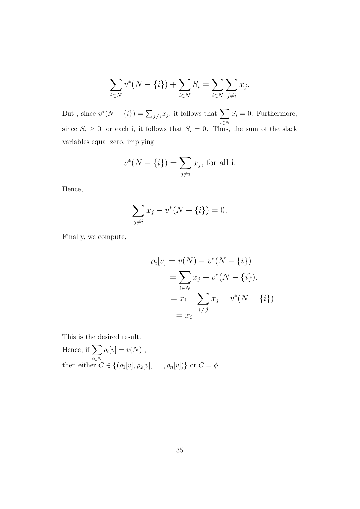$$
\sum_{i \in N} v^*(N - \{i\}) + \sum_{i \in N} S_i = \sum_{i \in N} \sum_{j \neq i} x_j.
$$

But, since  $v^*(N - \{i\}) = \sum_{j \neq i} x_j$ , it follows that  $\sum$ i∈N  $S_i = 0$ . Furthermore, since  $S_i \geq 0$  for each i, it follows that  $S_i = 0$ . Thus, the sum of the slack variables equal zero, implying

$$
v^*(N - \{i\}) = \sum_{j \neq i} x_j
$$
, for all i.

Hence,

$$
\sum_{j \neq i} x_j - v^*(N - \{i\}) = 0.
$$

Finally, we compute,

$$
\rho_i[v] = v(N) - v^*(N - \{i\})
$$
  
=  $\sum_{i \in N} x_j - v^*(N - \{i\}).$   
=  $x_i + \sum_{i \neq j} x_j - v^*(N - \{i\})$   
=  $x_i$ 

This is the desired result.

Hence, if 
$$
\sum_{i \in N} \rho_i[v] = v(N)
$$
,  
then either  $C \in \{(\rho_1[v], \rho_2[v], \dots, \rho_n[v])\}$  or  $C = \phi$ .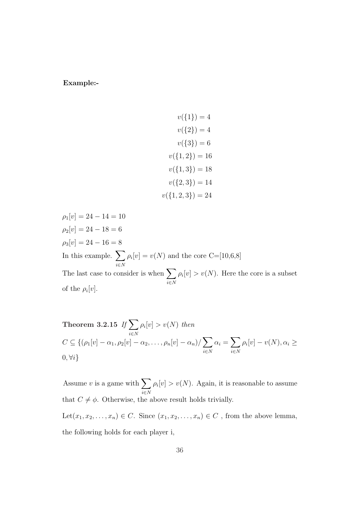#### Example:-

 $v({1}) = 4$  $v({2}) = 4$  $v({3}) = 6$  $v({1, 2}) = 16$  $v({1,3}) = 18$  $v({2,3}) = 14$  $v({1, 2, 3}) = 24$ 

 $\rho_1[v] = 24 - 14 = 10$  $\rho_2[v] = 24 - 18 = 6$  $\rho_3[v] = 24 - 16 = 8$ In this example.  $\sum$ i∈N  $\rho_i[v] = v(N)$  and the core C=[10,6,8] The last case to consider is when  $\sum$ i∈N  $\rho_i[v] > v(N)$ . Here the core is a subset of the  $\rho_i[v]$ .

Theorem 3.2.15 If 
$$
\sum_{i \in N} \rho_i[v] > v(N)
$$
 then  
\n
$$
C \subseteq \{(\rho_1[v] - \alpha_1, \rho_2[v] - \alpha_2, \dots, \rho_n[v] - \alpha_n)/ \sum_{i \in N} \alpha_i = \sum_{i \in N} \rho_i[v] - v(N), \alpha_i \ge 0, \forall i\}
$$

Assume v is a game with  $\sum$ i∈N  $\rho_i[v] > v(N)$ . Again, it is reasonable to assume that  $C \neq \phi$ . Otherwise, the above result holds trivially. Let $(x_1, x_2, \ldots, x_n) \in C$ . Since  $(x_1, x_2, \ldots, x_n) \in C$ , from the above lemma, the following holds for each player i,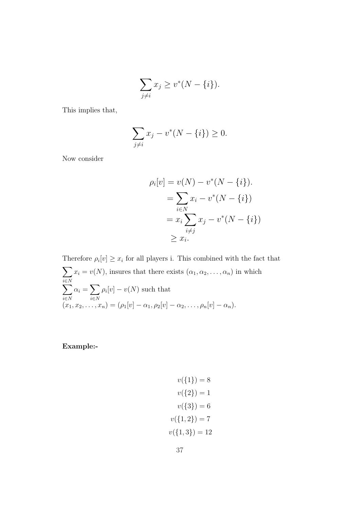$$
\sum_{j \neq i} x_j \ge v^*(N - \{i\}).
$$

This implies that,

$$
\sum_{j \neq i} x_j - v^*(N - \{i\}) \ge 0.
$$

Now consider

$$
\rho_i[v] = v(N) - v^*(N - \{i\}).
$$
  
= 
$$
\sum_{i \in N} x_i - v^*(N - \{i\})
$$
  
= 
$$
x_i \sum_{i \neq j} x_j - v^*(N - \{i\})
$$
  

$$
\geq x_i.
$$

Therefore  $\rho_i[v] \geq x_i$  for all players i. This combined with the fact that  $\overline{\phantom{a}}$ i∈N  $x_i = v(N)$ , insures that there exists  $(\alpha_1, \alpha_2, \dots, \alpha_n)$  in which  $\stackrel{i \in N}{\longrightarrow}$ i∈N  $\alpha_i =$  $\overline{\phantom{a}}$ i∈N  $\rho_i[v] - v(N)$  such that  $(x_1, x_2, \ldots, x_n) = (\rho_1[v] - \alpha_1, \rho_2[v] - \alpha_2, \ldots, \rho_n[v] - \alpha_n).$ 

Example:-

$$
v({1}) = 8
$$

$$
v({2}) = 1
$$

$$
v({3}) = 6
$$

$$
v({1, 2}) = 7
$$

$$
v({1, 3}) = 12
$$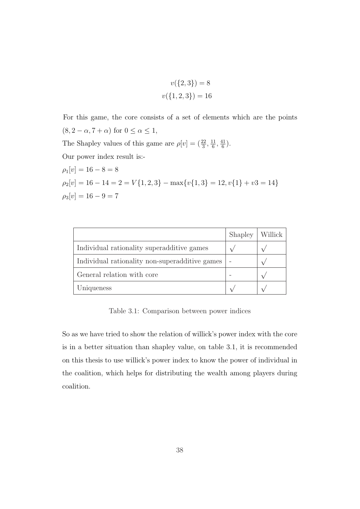$$
v({2,3}) = 8
$$

$$
v({1,2,3}) = 16
$$

For this game, the core consists of a set of elements which are the points  $(8, 2 - \alpha, 7 + \alpha)$  for  $0 \leq \alpha \leq 1$ , The Shapley values of this game are  $\rho[v] = \left(\frac{22}{3}, \frac{11}{6}\right)$  $\frac{11}{6}$ ,  $\frac{41}{6}$  $\frac{11}{6}$ . Our power index result is:-  $\rho_1[v] = 16 - 8 = 8$  $\rho_2[v] = 16 - 14 = 2 = V\{1, 2, 3\} - \max\{v\{1, 3\} = 12, v\{1\} + v3 = 14\}$  $\rho_3[v] = 16 - 9 = 7$ 

|                                                | Shapley | Willick |
|------------------------------------------------|---------|---------|
| Individual rationality superadditive games     |         |         |
| Individual rationality non-superadditive games |         |         |
| General relation with core                     |         |         |
| Uniqueness                                     |         |         |

Table 3.1: Comparison between power indices

So as we have tried to show the relation of willick's power index with the core is in a better situation than shapley value, on table 3.1, it is recommended on this thesis to use willick's power index to know the power of individual in the coalition, which helps for distributing the wealth among players during coalition.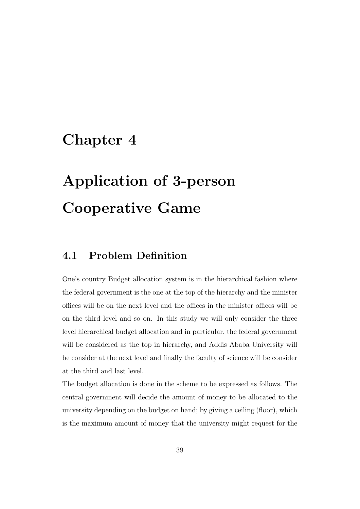## Chapter 4

# Application of 3-person Cooperative Game

### 4.1 Problem Definition

One's country Budget allocation system is in the hierarchical fashion where the federal government is the one at the top of the hierarchy and the minister offices will be on the next level and the offices in the minister offices will be on the third level and so on. In this study we will only consider the three level hierarchical budget allocation and in particular, the federal government will be considered as the top in hierarchy, and Addis Ababa University will be consider at the next level and finally the faculty of science will be consider at the third and last level.

The budget allocation is done in the scheme to be expressed as follows. The central government will decide the amount of money to be allocated to the university depending on the budget on hand; by giving a ceiling (floor), which is the maximum amount of money that the university might request for the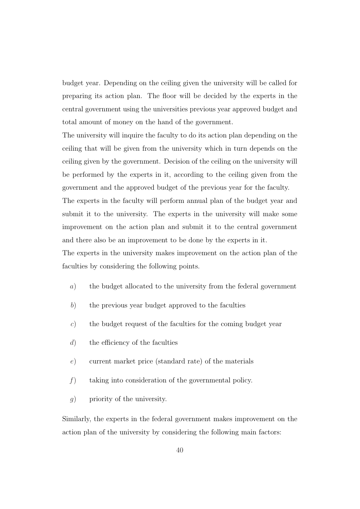budget year. Depending on the ceiling given the university will be called for preparing its action plan. The floor will be decided by the experts in the central government using the universities previous year approved budget and total amount of money on the hand of the government.

The university will inquire the faculty to do its action plan depending on the ceiling that will be given from the university which in turn depends on the ceiling given by the government. Decision of the ceiling on the university will be performed by the experts in it, according to the ceiling given from the government and the approved budget of the previous year for the faculty. The experts in the faculty will perform annual plan of the budget year and submit it to the university. The experts in the university will make some improvement on the action plan and submit it to the central government and there also be an improvement to be done by the experts in it.

The experts in the university makes improvement on the action plan of the faculties by considering the following points.

- a) the budget allocated to the university from the federal government
- b) the previous year budget approved to the faculties
- c) the budget request of the faculties for the coming budget year
- d) the efficiency of the faculties
- e) current market price (standard rate) of the materials
- f) taking into consideration of the governmental policy.
- g) priority of the university.

Similarly, the experts in the federal government makes improvement on the action plan of the university by considering the following main factors: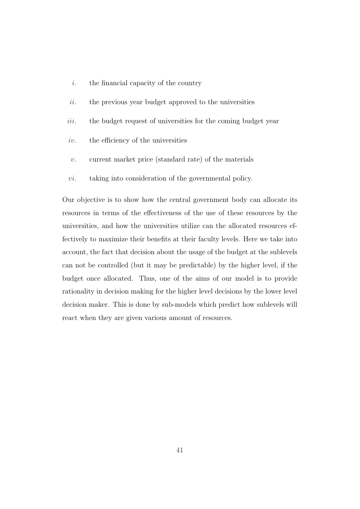- $i.$  the financial capacity of the country
- $ii.$  the previous year budget approved to the universities
- iii. the budget request of universities for the coming budget year
- $iv.$  the efficiency of the universities
- v. current market price (standard rate) of the materials
- vi. taking into consideration of the governmental policy.

Our objective is to show how the central government body can allocate its resources in terms of the effectiveness of the use of these resources by the universities, and how the universities utilize can the allocated resources effectively to maximize their benefits at their faculty levels. Here we take into account, the fact that decision about the usage of the budget at the sublevels can not be controlled (but it may be predictable) by the higher level, if the budget once allocated. Thus, one of the aims of our model is to provide rationality in decision making for the higher level decisions by the lower level decision maker. This is done by sub-models which predict how sublevels will react when they are given various amount of resources.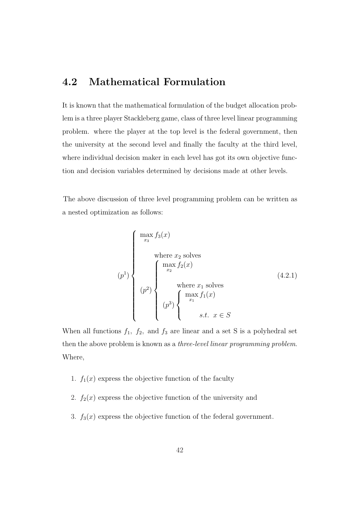### 4.2 Mathematical Formulation

It is known that the mathematical formulation of the budget allocation problem is a three player Stackleberg game, class of three level linear programming problem. where the player at the top level is the federal government, then the university at the second level and finally the faculty at the third level, where individual decision maker in each level has got its own objective function and decision variables determined by decisions made at other levels.

The above discussion of three level programming problem can be written as a nested optimization as follows:

$$
(p1)\n\begin{cases}\n\max_{x_3} f_3(x) \\
\text{where } x_2 \text{ solves} \\
x_2\n\end{cases}
$$
\n
$$
(p2)\n\begin{cases}\n\max_{x_2} f_2(x) \\
\text{where } x_1 \text{ solves} \\
(p^2)\n\begin{cases}\n\max_{x_1} f_1(x) \\
\text{s.t. } x \in S\n\end{cases}
$$
\n(4.2.1)

When all functions  $f_1$ ,  $f_2$ , and  $f_3$  are linear and a set S is a polyhedral set then the above problem is known as a three-level linear programming problem. Where,

- 1.  $f_1(x)$  express the objective function of the faculty
- 2.  $f_2(x)$  express the objective function of the university and
- 3.  $f_3(x)$  express the objective function of the federal government.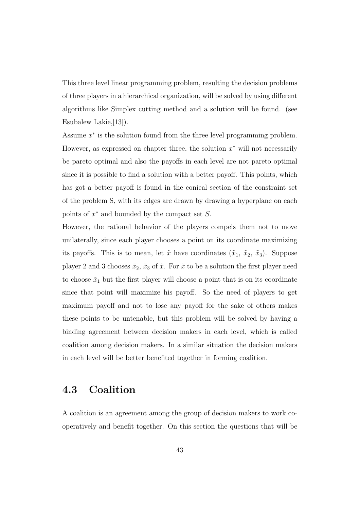This three level linear programming problem, resulting the decision problems of three players in a hierarchical organization, will be solved by using different algorithms like Simplex cutting method and a solution will be found. (see Esubalew Lakie,[13]).

Assume  $x^*$  is the solution found from the three level programming problem. However, as expressed on chapter three, the solution  $x^*$  will not necessarily be pareto optimal and also the payoffs in each level are not pareto optimal since it is possible to find a solution with a better payoff. This points, which has got a better payoff is found in the conical section of the constraint set of the problem S, with its edges are drawn by drawing a hyperplane on each points of  $x^*$  and bounded by the compact set  $S$ .

However, the rational behavior of the players compels them not to move unilaterally, since each player chooses a point on its coordinate maximizing its payoffs. This is to mean, let  $\tilde{x}$  have coordinates  $(\tilde{x}_1, \tilde{x}_2, \tilde{x}_3)$ . Suppose player 2 and 3 chooses  $\tilde{x}_2$ ,  $\tilde{x}_3$  of  $\tilde{x}$ . For  $\tilde{x}$  to be a solution the first player need to choose  $\tilde{x}_1$  but the first player will choose a point that is on its coordinate since that point will maximize his payoff. So the need of players to get maximum payoff and not to lose any payoff for the sake of others makes these points to be untenable, but this problem will be solved by having a binding agreement between decision makers in each level, which is called coalition among decision makers. In a similar situation the decision makers in each level will be better benefited together in forming coalition.

### 4.3 Coalition

A coalition is an agreement among the group of decision makers to work cooperatively and benefit together. On this section the questions that will be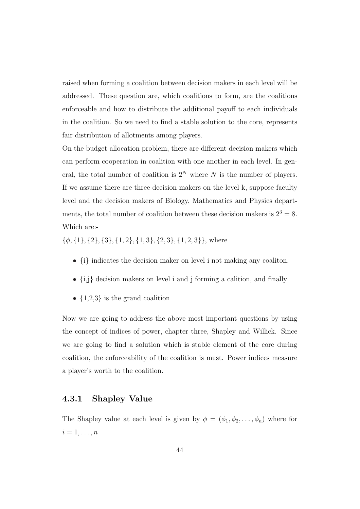raised when forming a coalition between decision makers in each level will be addressed. These question are, which coalitions to form, are the coalitions enforceable and how to distribute the additional payoff to each individuals in the coalition. So we need to find a stable solution to the core, represents fair distribution of allotments among players.

On the budget allocation problem, there are different decision makers which can perform cooperation in coalition with one another in each level. In general, the total number of coalition is  $2^N$  where N is the number of players. If we assume there are three decision makers on the level k, suppose faculty level and the decision makers of Biology, Mathematics and Physics departments, the total number of coalition between these decision makers is  $2^3 = 8$ . Which are:-

 $\{\phi, \{1\}, \{2\}, \{3\}, \{1, 2\}, \{1, 3\}, \{2, 3\}, \{1, 2, 3\}\}\$ , where

- {i} indicates the decision maker on level i not making any coaliton.
- $\bullet$   $\left\lbrace \mathrm{i,j}\right\rbrace$  decision makers on level  $\mathrm{i}$  and  $\mathrm{j}$  forming a calition, and finally
- $\{1,2,3\}$  is the grand coalition

Now we are going to address the above most important questions by using the concept of indices of power, chapter three, Shapley and Willick. Since we are going to find a solution which is stable element of the core during coalition, the enforceability of the coalition is must. Power indices measure a player's worth to the coalition.

#### 4.3.1 Shapley Value

The Shapley value at each level is given by  $\phi = (\phi_1, \phi_2, \dots, \phi_n)$  where for  $i=1,\ldots,n$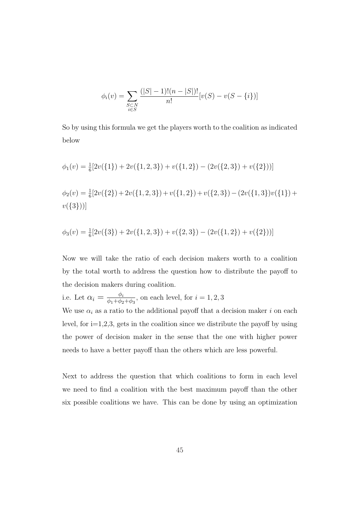$$
\phi_i(v) = \sum_{\substack{S \subset N \\ i \in S}} \frac{(|S| - 1)!(n - |S|)!}{n!} [v(S) - v(S - \{i\})]
$$

So by using this formula we get the players worth to the coalition as indicated below

$$
\phi_1(v) = \frac{1}{6} [2v({1}) + 2v({1, 2, 3}) + v({1, 2}) - (2v({2, 3}) + v({2})))]
$$
  

$$
\phi_2(v) = \frac{1}{6} [2v({2}) + 2v({1, 2, 3}) + v({1, 2}) + v({2, 3}) - (2v({1, 3})v({1}) + v({3})))
$$

$$
\phi_3(v) = \frac{1}{6} [2v(\{3\}) + 2v(\{1, 2, 3\}) + v(\{2, 3\}) - (2v(\{1, 2\}) + v(\{2\}))]
$$

Now we will take the ratio of each decision makers worth to a coalition by the total worth to address the question how to distribute the payoff to the decision makers during coalition.

i.e. Let  $\alpha_i = \frac{\phi_i}{\phi_1 + \phi_2}$  $\frac{\varphi_i}{\phi_1 + \phi_2 + \phi_3}$ , on each level, for  $i = 1, 2, 3$ 

We use  $\alpha_i$  as a ratio to the additional payoff that a decision maker i on each level, for  $i=1,2,3$ , gets in the coalition since we distribute the payoff by using the power of decision maker in the sense that the one with higher power needs to have a better payoff than the others which are less powerful.

Next to address the question that which coalitions to form in each level we need to find a coalition with the best maximum payoff than the other six possible coalitions we have. This can be done by using an optimization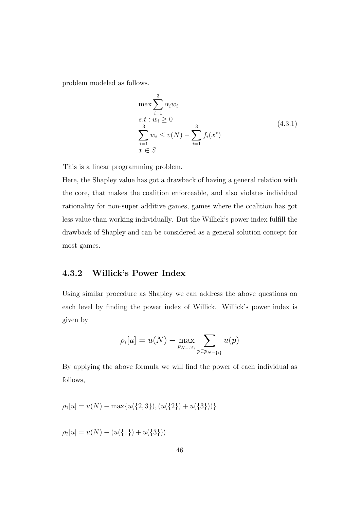problem modeled as follows.

$$
\max \sum_{i=1}^{3} \alpha_i w_i
$$
  
s.t :  $w_i \ge 0$   

$$
\sum_{i=1}^{3} w_i \le v(N) - \sum_{i=1}^{3} f_i(x^*)
$$
  
 $x \in S$  (4.3.1)

This is a linear programming problem.

Here, the Shapley value has got a drawback of having a general relation with the core, that makes the coalition enforceable, and also violates individual rationality for non-super additive games, games where the coalition has got less value than working individually. But the Willick's power index fulfill the drawback of Shapley and can be considered as a general solution concept for most games.

#### 4.3.2 Willick's Power Index

Using similar procedure as Shapley we can address the above questions on each level by finding the power index of Willick. Willick's power index is given by

$$
\rho_i[u] = u(N) - \max_{p_{N-\{i\}}} \sum_{p \in p_{N-\{i\}}} u(p)
$$

By applying the above formula we will find the power of each individual as follows,

$$
\rho_1[u] = u(N) - \max\{u(\{2,3\}), (u(\{2\}) + u(\{3\}))\}
$$

 $\rho_2[u] = u(N) - (u({1}) + u({3})).$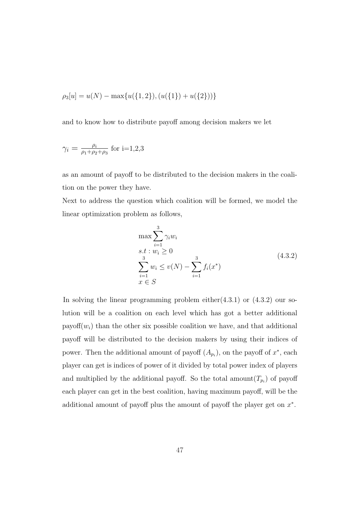$$
\rho_3[u] = u(N) - \max\{u(\{1,2\}), (u(\{1\}) + u(\{2\}))\}
$$

and to know how to distribute payoff among decision makers we let

$$
\gamma_i = \frac{\rho_i}{\rho_1 + \rho_2 + \rho_3}
$$
 for i=1,2,3

as an amount of payoff to be distributed to the decision makers in the coalition on the power they have.

Next to address the question which coalition will be formed, we model the linear optimization problem as follows,

$$
\max \sum_{i=1}^{3} \gamma_i w_i
$$
  
s.t :  $w_i \ge 0$   

$$
\sum_{i=1}^{3} w_i \le v(N) - \sum_{i=1}^{3} f_i(x^*)
$$
  
 $x \in S$  (4.3.2)

In solving the linear programming problem either $(4.3.1)$  or  $(4.3.2)$  our solution will be a coalition on each level which has got a better additional payoff $(w_i)$  than the other six possible coalition we have, and that additional payoff will be distributed to the decision makers by using their indices of power. Then the additional amount of payoff  $(A_{p_i})$ , on the payoff of  $x^*$ , each player can get is indices of power of it divided by total power index of players and multiplied by the additional payoff. So the total amount  $(T_{p_i})$  of payoff each player can get in the best coalition, having maximum payoff, will be the additional amount of payoff plus the amount of payoff the player get on  $x^*$ .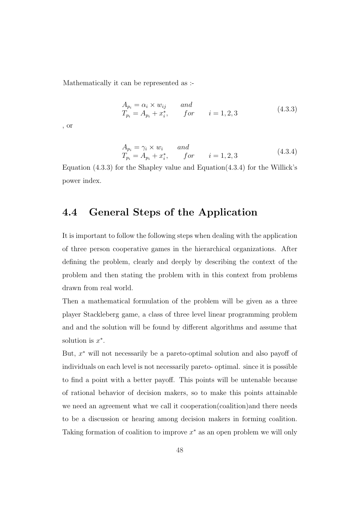Mathematically it can be represented as :-

$$
A_{p_i} = \alpha_i \times w_{ij} \nandT_{p_i} = A_{p_i} + x_i^*, \nfor \n i = 1, 2, 3
$$
\n(4.3.3)

, or

$$
A_{p_i} = \gamma_i \times w_i \qquad and
$$
  
\n
$$
T_{p_i} = A_{p_i} + x_i^*, \qquad for \qquad i = 1, 2, 3
$$
\n(4.3.4)

Equation  $(4.3.3)$  for the Shapley value and Equation $(4.3.4)$  for the Willick's power index.

### 4.4 General Steps of the Application

It is important to follow the following steps when dealing with the application of three person cooperative games in the hierarchical organizations. After defining the problem, clearly and deeply by describing the context of the problem and then stating the problem with in this context from problems drawn from real world.

Then a mathematical formulation of the problem will be given as a three player Stackleberg game, a class of three level linear programming problem and and the solution will be found by different algorithms and assume that solution is  $x^*$ .

But, x <sup>∗</sup> will not necessarily be a pareto-optimal solution and also payoff of individuals on each level is not necessarily pareto- optimal. since it is possible to find a point with a better payoff. This points will be untenable because of rational behavior of decision makers, so to make this points attainable we need an agreement what we call it cooperation(coalition)and there needs to be a discussion or hearing among decision makers in forming coalition. Taking formation of coalition to improve  $x^*$  as an open problem we will only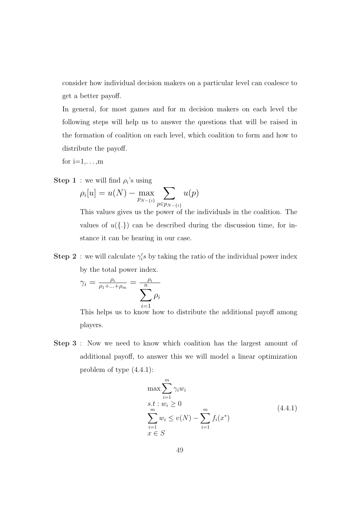consider how individual decision makers on a particular level can coalesce to get a better payoff.

In general, for most games and for m decision makers on each level the following steps will help us to answer the questions that will be raised in the formation of coalition on each level, which coalition to form and how to distribute the payoff.

for  $i=1,\ldots,m$ 

**Step 1**: we will find  $\rho_i$ 's using

We will find 
$$
p_i
$$
 s using  

$$
\rho_i[u] = u(N) - \max_{p_{N-i}} \sum_{p \in p_{N-i}} u(p)
$$

This values gives us the power of the individuals in the coalition. The values of  $u(\{\cdot\})$  can be described during the discussion time, for instance it can be hearing in our case.

**Step 2**: we will calculate  $\gamma_i$ 's by taking the ratio of the individual power index by the total power index.

$$
\gamma_i = \frac{\rho_i}{\rho_1 + \dots + \rho_m} = \frac{\rho_i}{\sum_{i=1}^n \rho_i}
$$

This helps us to know how to distribute the additional payoff among players.

Step 3 : Now we need to know which coalition has the largest amount of additional payoff, to answer this we will model a linear optimization problem of type (4.4.1):

$$
\max \sum_{i=1}^{m} \gamma_i w_i
$$
  
s.t :  $w_i \ge 0$   

$$
\sum_{i=1}^{m} w_i \le v(N) - \sum_{i=1}^{m} f_i(x^*)
$$
  
 $x \in S$  (4.4.1)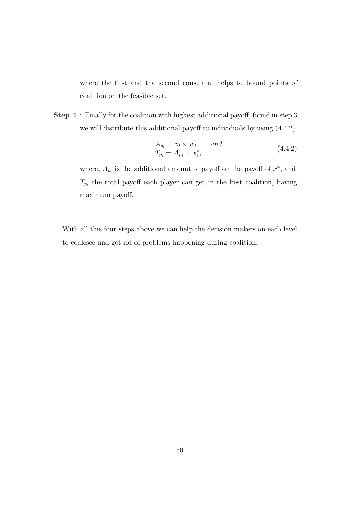where the first and the second constraint helps to bound points of coalition on the feasible set.

Step 4 : Finally for the coalition with highest additional payoff, found in step 3 we will distribute this additional payoff to individuals by using (4.4.2).

$$
A_{p_i} = \gamma_i \times w_i \qquad and T_{p_i} = A_{p_i} + x_i^*,
$$
\n(4.4.2)

where,  $A_{p_i}$  is the additional amount of payoff on the payoff of  $x^*$ , and  $T_{p_i}$  the total payoff each player can get in the best coalition, having maximum payoff.

With all this four steps above we can help the decision makers on each level to coalesce and get rid of problems happening during coalition.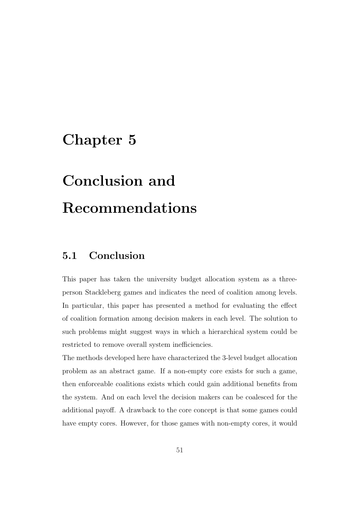## Chapter 5

# Conclusion and Recommendations

### 5.1 Conclusion

This paper has taken the university budget allocation system as a threeperson Stackleberg games and indicates the need of coalition among levels. In particular, this paper has presented a method for evaluating the effect of coalition formation among decision makers in each level. The solution to such problems might suggest ways in which a hierarchical system could be restricted to remove overall system inefficiencies.

The methods developed here have characterized the 3-level budget allocation problem as an abstract game. If a non-empty core exists for such a game, then enforceable coalitions exists which could gain additional benefits from the system. And on each level the decision makers can be coalesced for the additional payoff. A drawback to the core concept is that some games could have empty cores. However, for those games with non-empty cores, it would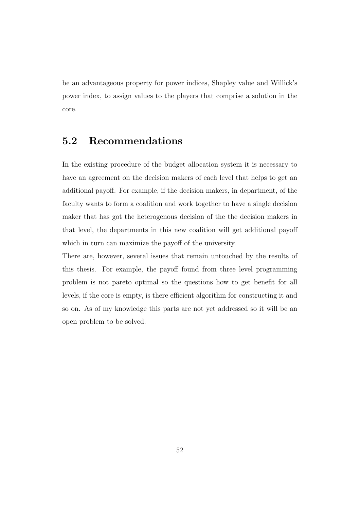be an advantageous property for power indices, Shapley value and Willick's power index, to assign values to the players that comprise a solution in the core.

### 5.2 Recommendations

In the existing procedure of the budget allocation system it is necessary to have an agreement on the decision makers of each level that helps to get an additional payoff. For example, if the decision makers, in department, of the faculty wants to form a coalition and work together to have a single decision maker that has got the heterogenous decision of the the decision makers in that level, the departments in this new coalition will get additional payoff which in turn can maximize the payoff of the university.

There are, however, several issues that remain untouched by the results of this thesis. For example, the payoff found from three level programming problem is not pareto optimal so the questions how to get benefit for all levels, if the core is empty, is there efficient algorithm for constructing it and so on. As of my knowledge this parts are not yet addressed so it will be an open problem to be solved.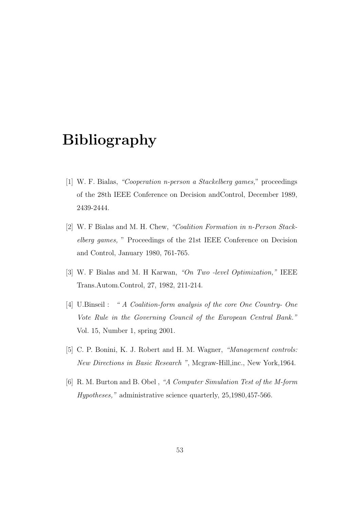## Bibliography

- [1] W. F. Bialas, "Cooperation n-person a Stackelberg games," proceedings of the 28th IEEE Conference on Decision andControl, December 1989, 2439-2444.
- [2] W. F Bialas and M. H. Chew, "Coalition Formation in n-Person Stackelberg games, " Proceedings of the 21st IEEE Conference on Decision and Control, January 1980, 761-765.
- [3] W. F Bialas and M. H Karwan, "On Two -level Optimization," IEEE Trans.Autom.Control, 27, 1982, 211-214.
- [4] U.Binseil : " A Coalition-form analysis of the core One Country- One Vote Rule in the Governing Council of the European Central Bank." Vol. 15, Number 1, spring 2001.
- [5] C. P. Bonini, K. J. Robert and H. M. Wagner, "Management controls: New Directions in Basic Research ", Mcgraw-Hill,inc., New York,1964.
- [6] R. M. Burton and B. Obel , "A Computer Simulation Test of the M-form Hypotheses," administrative science quarterly, 25,1980,457-566.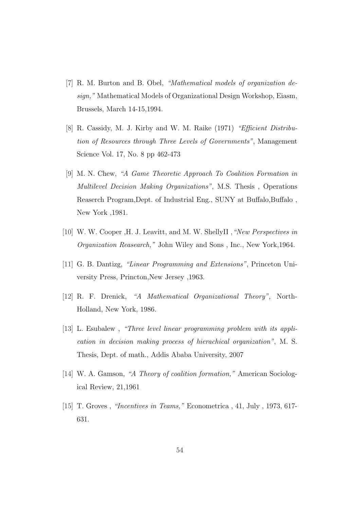- [7] R. M. Burton and B. Obel, "Mathematical models of organization design," Mathematical Models of Organizational Design Workshop, Eiasm, Brussels, March 14-15,1994.
- [8] R. Cassidy, M. J. Kirby and W. M. Raike (1971) "Efficient Distribution of Resources through Three Levels of Governments", Management Science Vol. 17, No. 8 pp 462-473
- [9] M. N. Chew, "A Game Theoretic Approach To Coalition Formation in Multilevel Decision Making Organizations", M.S. Thesis , Operations Reaserch Program,Dept. of Industrial Eng., SUNY at Buffalo,Buffalo , New York ,1981.
- [10] W. W. Cooper , H. J. Leavitt, and M. W. ShellyII , "New Perspectives in Organization Reasearch," John Wiley and Sons , Inc., New York,1964.
- [11] G. B. Dantizg, "Linear Programming and Extensions", Princeton University Press, Princton,New Jersey ,1963.
- [12] R. F. Drenick, "A Mathematical Organizational Theory", North-Holland, New York, 1986.
- [13] L. Esubalew , "Three level linear programming problem with its application in decision making process of hierachical organization", M. S. Thesis, Dept. of math., Addis Ababa University, 2007
- [14] W. A. Gamson, "A Theory of coalition formation," American Sociological Review, 21,1961
- [15] T. Groves , "Incentives in Teams," Econometrica , 41, July , 1973, 617- 631.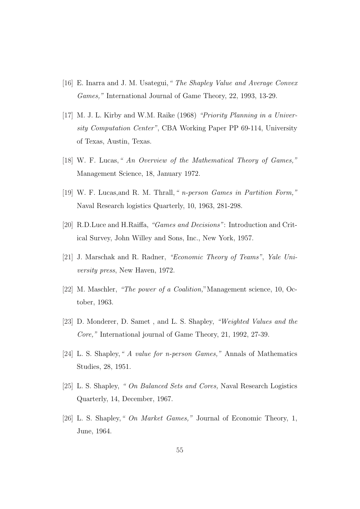- [16] E. Inarra and J. M. Usategui, "The Shapley Value and Average Convex Games," International Journal of Game Theory, 22, 1993, 13-29.
- [17] M. J. L. Kirby and W.M. Raike (1968) "Priority Planning in a University Computation Center", CBA Working Paper PP 69-114, University of Texas, Austin, Texas.
- [18] W. F. Lucas, "An Overview of the Mathematical Theory of Games," Management Science, 18, January 1972.
- [19] W. F. Lucas,and R. M. Thrall," n-person Games in Partition Form," Naval Research logistics Quarterly, 10, 1963, 281-298.
- [20] R.D.Luce and H.Raiffa, "Games and Decisions": Introduction and Critical Survey, John Willey and Sons, Inc., New York, 1957.
- [21] J. Marschak and R. Radner, "Economic Theory of Teams", Yale University press, New Haven, 1972.
- [22] M. Maschler, "The power of a Coalition,"Management science, 10, October, 1963.
- [23] D. Monderer, D. Samet , and L. S. Shapley, "Weighted Values and the Core," International journal of Game Theory, 21, 1992, 27-39.
- [24] L. S. Shapley," A value for n-person Games," Annals of Mathematics Studies, 28, 1951.
- [25] L. S. Shapley, " On Balanced Sets and Cores, Naval Research Logistics Quarterly, 14, December, 1967.
- [26] L. S. Shapley," On Market Games," Journal of Economic Theory, 1, June, 1964.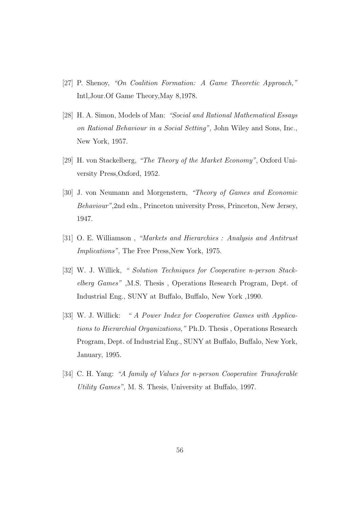- [27] P. Shenoy, "On Coalition Formation: A Game Theoretic Approach," Intl,Jour.Of Game Theory,May 8,1978.
- [28] H. A. Simon, Models of Man: "Social and Rational Mathematical Essays on Rational Behaviour in a Social Setting", John Wiley and Sons, Inc., New York, 1957.
- [29] H. von Stackelberg, "The Theory of the Market Economy", Oxford University Press,Oxford, 1952.
- [30] J. von Neumann and Morgenstern, "Theory of Games and Economic Behaviour",2nd edn., Princeton university Press, Princeton, New Jersey, 1947.
- [31] O. E. Williamson , "Markets and Hierarchies : Analysis and Antitrust Implications", The Free Press, New York, 1975.
- [32] W. J. Willick, "Solution Techniques for Cooperative n-person Stackelberg Games" ,M.S. Thesis , Operations Research Program, Dept. of Industrial Eng., SUNY at Buffalo, Buffalo, New York ,1990.
- [33] W. J. Willick: " A Power Index for Cooperative Games with Applications to Hierarchial Organizations," Ph.D. Thesis , Operations Research Program, Dept. of Industrial Eng., SUNY at Buffalo, Buffalo, New York, January, 1995.
- [34] C. H. Yang: "A family of Values for n-person Cooperative Transferable Utility Games", M. S. Thesis, University at Buffalo, 1997.